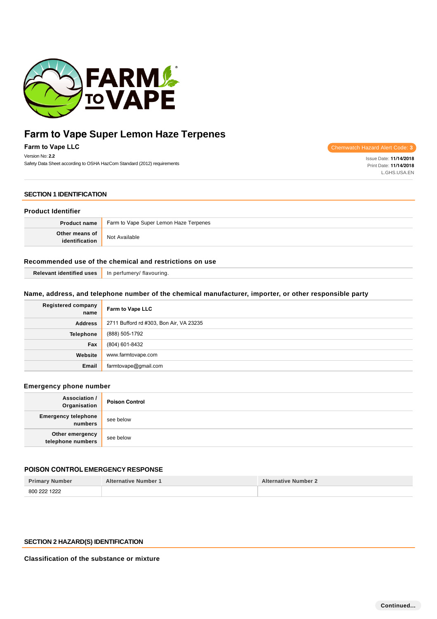

**Farm to Vape LLC** Version No: **2.2**

Safety Data Sheet according to OSHA HazCom Standard (2012) requirements

Chemwatch Hazard Alert Code: **3**

Issue Date: **11/14/2018** Print Date: **11/14/2018** L.GHS.USA.EN

### **SECTION 1 IDENTIFICATION**

#### **Product Identifier**

| <b>Product name</b>              | <sup>t</sup> Farm to Vape Super Lemon Haze Terpenes |  |
|----------------------------------|-----------------------------------------------------|--|
| Other means of<br>identification | Not Available                                       |  |

## **Recommended use of the chemical and restrictions on use**

| In perfumery/ flavouring. |
|---------------------------|
|                           |

## **Name, address, and telephone number of the chemical manufacturer, importer, or other responsible party**

| <b>Registered company</b><br>name | Farm to Vape LLC                        |
|-----------------------------------|-----------------------------------------|
| <b>Address</b>                    | 2711 Bufford rd #303, Bon Air, VA 23235 |
| <b>Telephone</b>                  | (888) 505-1792                          |
| Fax                               | (804) 601-8432                          |
| Website                           | www.farmtovape.com                      |
| Email                             | farmtovape@gmail.com                    |

## **Emergency phone number**

| <b>Association /</b><br>Organisation  | <b>Poison Control</b> |
|---------------------------------------|-----------------------|
| <b>Emergency telephone</b><br>numbers | see below             |
| Other emergency<br>telephone numbers  | see below             |

### **POISON CONTROL EMERGENCY RESPONSE**

| <b>Primary Number</b> | <b>Alternative Number 1</b> | <b>Alternative Number 2</b> |
|-----------------------|-----------------------------|-----------------------------|
| 800 222 1222          |                             |                             |

## **SECTION 2 HAZARD(S) IDENTIFICATION**

**Classification of the substance or mixture**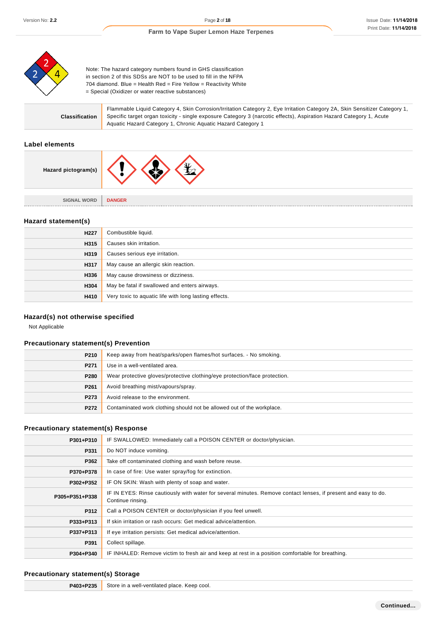

Note: The hazard category numbers found in GHS classification in section 2 of this SDSs are NOT to be used to fill in the NFPA 704 diamond. Blue = Health Red = Fire Yellow = Reactivity White = Special (Oxidizer or water reactive substances)

|                | Flammable Liquid Category 4, Skin Corrosion/Irritation Category 2, Eye Irritation Category 2A, Skin Sensitizer Category 1, |
|----------------|----------------------------------------------------------------------------------------------------------------------------|
| Classification | Specific target organ toxicity - single exposure Category 3 (narcotic effects), Aspiration Hazard Category 1, Acute        |
|                | Aquatic Hazard Category 1, Chronic Aquatic Hazard Category 1                                                               |

## **Label elements**

| Hazard pictogram(s) | ٦v            |
|---------------------|---------------|
| <b>SIGNAL WORD</b>  | <b>DANGER</b> |

## **Hazard statement(s)**

| H <sub>227</sub> | Combustible liquid.                                   |
|------------------|-------------------------------------------------------|
| H315             | Causes skin irritation.                               |
| H319             | Causes serious eye irritation.                        |
| H317             | May cause an allergic skin reaction.                  |
| H336             | May cause drowsiness or dizziness.                    |
| H304             | May be fatal if swallowed and enters airways.         |
| H410             | Very toxic to aquatic life with long lasting effects. |

## **Hazard(s) not otherwise specified**

Not Applicable

## **Precautionary statement(s) Prevention**

| P210             | Keep away from heat/sparks/open flames/hot surfaces. - No smoking.         |
|------------------|----------------------------------------------------------------------------|
| P <sub>271</sub> | Use in a well-ventilated area.                                             |
| P280             | Wear protective gloves/protective clothing/eye protection/face protection. |
| P261             | Avoid breathing mist/vapours/spray.                                        |
| P273             | Avoid release to the environment.                                          |
| P272             | Contaminated work clothing should not be allowed out of the workplace.     |

### **Precautionary statement(s) Response**

| P301+P310      | IF SWALLOWED: Immediately call a POISON CENTER or doctor/physician.                                                                 |  |  |
|----------------|-------------------------------------------------------------------------------------------------------------------------------------|--|--|
| P331           | Do NOT induce vomiting.                                                                                                             |  |  |
| P362           | Take off contaminated clothing and wash before reuse.                                                                               |  |  |
| P370+P378      | In case of fire: Use water spray/fog for extinction.                                                                                |  |  |
| P302+P352      | IF ON SKIN: Wash with plenty of soap and water.                                                                                     |  |  |
| P305+P351+P338 | IF IN EYES: Rinse cautiously with water for several minutes. Remove contact lenses, if present and easy to do.<br>Continue rinsing. |  |  |
| P312           | Call a POISON CENTER or doctor/physician if you feel unwell.                                                                        |  |  |
| P333+P313      | If skin irritation or rash occurs: Get medical advice/attention.                                                                    |  |  |
| P337+P313      | If eye irritation persists: Get medical advice/attention.                                                                           |  |  |
| P391           | Collect spillage.                                                                                                                   |  |  |
| P304+P340      | IF INHALED: Remove victim to fresh air and keep at rest in a position comfortable for breathing.                                    |  |  |

## **Precautionary statement(s) Storage**

| P403+P235 | Store in a well-ventilated place. Keep cool. |
|-----------|----------------------------------------------|
|-----------|----------------------------------------------|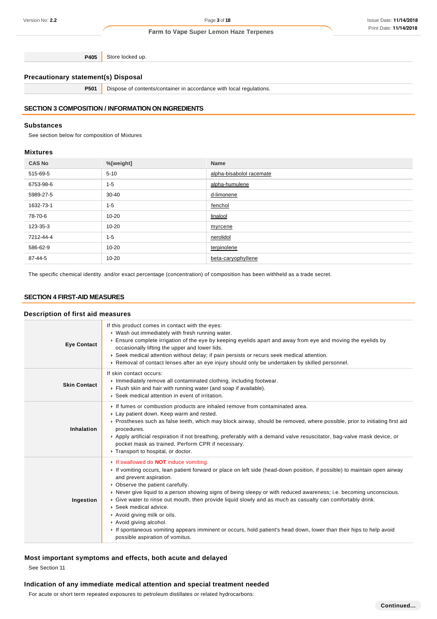**P405** Store locked up.

## **Precautionary statement(s) Disposal**

**P501** Dispose of contents/container in accordance with local regulations.

## **SECTION 3 COMPOSITION / INFORMATION ON INGREDIENTS**

#### **Substances**

See section below for composition of Mixtures

#### **Mixtures**

| <b>CAS No</b> | %[weight] | <b>Name</b>              |
|---------------|-----------|--------------------------|
| 515-69-5      | $5 - 10$  | alpha-bisabolol racemate |
| 6753-98-6     | $1 - 5$   | alpha-humulene           |
| 5989-27-5     | $30 - 40$ | d-limonene               |
| 1632-73-1     | $1 - 5$   | fenchol                  |
| 78-70-6       | $10 - 20$ | linalool                 |
| 123-35-3      | $10 - 20$ | myrcene                  |
| 7212-44-4     | $1 - 5$   | nerolidol                |
| 586-62-9      | $10 - 20$ | terpinolene              |
| 87-44-5       | $10 - 20$ | beta-caryophyllene       |

The specific chemical identity and/or exact percentage (concentration) of composition has been withheld as a trade secret.

### **SECTION 4 FIRST-AID MEASURES**

## **Description of first aid measures**

| <b>Eye Contact</b>  | If this product comes in contact with the eyes:<br>▶ Wash out immediately with fresh running water.<br>Ensure complete irrigation of the eye by keeping eyelids apart and away from eye and moving the eyelids by<br>occasionally lifting the upper and lower lids.<br>► Seek medical attention without delay; if pain persists or recurs seek medical attention.<br>► Removal of contact lenses after an eye injury should only be undertaken by skilled personnel.                                                                                                                                                                                                                                                                |
|---------------------|-------------------------------------------------------------------------------------------------------------------------------------------------------------------------------------------------------------------------------------------------------------------------------------------------------------------------------------------------------------------------------------------------------------------------------------------------------------------------------------------------------------------------------------------------------------------------------------------------------------------------------------------------------------------------------------------------------------------------------------|
| <b>Skin Contact</b> | If skin contact occurs:<br>Inmediately remove all contaminated clothing, including footwear.<br>Flush skin and hair with running water (and soap if available).<br>▶ Seek medical attention in event of irritation.                                                                                                                                                                                                                                                                                                                                                                                                                                                                                                                 |
| <b>Inhalation</b>   | If fumes or combustion products are inhaled remove from contaminated area.<br>Lay patient down. Keep warm and rested.<br>▶ Prostheses such as false teeth, which may block airway, should be removed, where possible, prior to initiating first aid<br>procedures.<br>▶ Apply artificial respiration if not breathing, preferably with a demand valve resuscitator, bag-valve mask device, or<br>pocket mask as trained. Perform CPR if necessary.<br>Transport to hospital, or doctor.                                                                                                                                                                                                                                             |
| Ingestion           | If swallowed do <b>NOT</b> induce vomiting.<br>If vomiting occurs, lean patient forward or place on left side (head-down position, if possible) to maintain open airway<br>and prevent aspiration.<br>• Observe the patient carefully.<br>► Never give liquid to a person showing signs of being sleepy or with reduced awareness; i.e. becoming unconscious.<br>► Give water to rinse out mouth, then provide liquid slowly and as much as casualty can comfortably drink.<br>$\triangleright$ Seek medical advice.<br>Avoid giving milk or oils.<br>Avoid giving alcohol.<br>If spontaneous vomiting appears imminent or occurs, hold patient's head down, lower than their hips to help avoid<br>possible aspiration of vomitus. |

## **Most important symptoms and effects, both acute and delayed**

See Section 11

## **Indication of any immediate medical attention and special treatment needed**

For acute or short term repeated exposures to petroleum distillates or related hydrocarbons: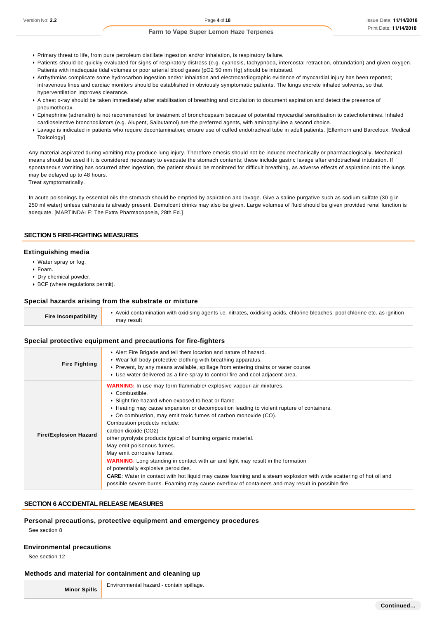- Primary threat to life, from pure petroleum distillate ingestion and/or inhalation, is respiratory failure.
- Patients should be quickly evaluated for signs of respiratory distress (e.g. cyanosis, tachypnoea, intercostal retraction, obtundation) and given oxygen. Patients with inadequate tidal volumes or poor arterial blood gases (pO2 50 mm Hg) should be intubated.
- Arrhythmias complicate some hydrocarbon ingestion and/or inhalation and electrocardiographic evidence of myocardial injury has been reported; intravenous lines and cardiac monitors should be established in obviously symptomatic patients. The lungs excrete inhaled solvents, so that hyperventilation improves clearance.
- A chest x-ray should be taken immediately after stabilisation of breathing and circulation to document aspiration and detect the presence of pneumothorax.
- Epinephrine (adrenalin) is not recommended for treatment of bronchospasm because of potential myocardial sensitisation to catecholamines. Inhaled cardioselective bronchodilators (e.g. Alupent, Salbutamol) are the preferred agents, with aminophylline a second choice.
- Lavage is indicated in patients who require decontamination; ensure use of cuffed endotracheal tube in adult patients. [Ellenhorn and Barceloux: Medical Toxicology]

Any material aspirated during vomiting may produce lung injury. Therefore emesis should not be induced mechanically or pharmacologically. Mechanical means should be used if it is considered necessary to evacuate the stomach contents; these include gastric lavage after endotracheal intubation. If spontaneous vomiting has occurred after ingestion, the patient should be monitored for difficult breathing, as adverse effects of aspiration into the lungs may be delayed up to 48 hours.

Treat symptomatically.

In acute poisonings by essential oils the stomach should be emptied by aspiration and lavage. Give a saline purgative such as sodium sulfate (30 g in 250 ml water) unless catharsis is already present. Demulcent drinks may also be given. Large volumes of fluid should be given provided renal function is adequate. [MARTINDALE: The Extra Pharmacopoeia, 28th Ed.]

#### **SECTION 5 FIRE-FIGHTING MEASURES**

#### **Extinguishing media**

- Water spray or fog.
- Foam.
- Dry chemical powder.
- BCF (where regulations permit).

#### **Special hazards arising from the substrate or mixture**

| <b>Fire Incompatibility</b> | Avoid contamination with oxidising agents i.e. nitrates, oxidising acids, chlorine bleaches, pool chlorine etc. as ignition |
|-----------------------------|-----------------------------------------------------------------------------------------------------------------------------|
|                             | may result                                                                                                                  |

#### **Special protective equipment and precautions for fire-fighters**

| <b>Fire Fighting</b>         | Alert Fire Brigade and tell them location and nature of hazard.<br>• Wear full body protective clothing with breathing apparatus.<br>► Prevent, by any means available, spillage from entering drains or water course.<br>► Use water delivered as a fine spray to control fire and cool adjacent area.                                                                                                                                                                                                                                                                                                                                                                                                                                                                                                                                                                               |
|------------------------------|---------------------------------------------------------------------------------------------------------------------------------------------------------------------------------------------------------------------------------------------------------------------------------------------------------------------------------------------------------------------------------------------------------------------------------------------------------------------------------------------------------------------------------------------------------------------------------------------------------------------------------------------------------------------------------------------------------------------------------------------------------------------------------------------------------------------------------------------------------------------------------------|
| <b>Fire/Explosion Hazard</b> | <b>WARNING:</b> In use may form flammable/ explosive vapour-air mixtures.<br>$\triangleright$ Combustible.<br>▶ Slight fire hazard when exposed to heat or flame.<br>► Heating may cause expansion or decomposition leading to violent rupture of containers.<br>• On combustion, may emit toxic fumes of carbon monoxide (CO).<br>Combustion products include:<br>carbon dioxide (CO2)<br>other pyrolysis products typical of burning organic material.<br>May emit poisonous fumes.<br>May emit corrosive fumes.<br><b>WARNING:</b> Long standing in contact with air and light may result in the formation<br>of potentially explosive peroxides.<br><b>CARE:</b> Water in contact with hot liquid may cause foaming and a steam explosion with wide scattering of hot oil and<br>possible severe burns. Foaming may cause overflow of containers and may result in possible fire. |

### **SECTION 6 ACCIDENTAL RELEASE MEASURES**

#### **Personal precautions, protective equipment and emergency procedures**

See section 8

#### **Environmental precautions**

See section 12

#### **Methods and material for containment and cleaning up**

**Minor Spills**

Environmental hazard - contain spillage.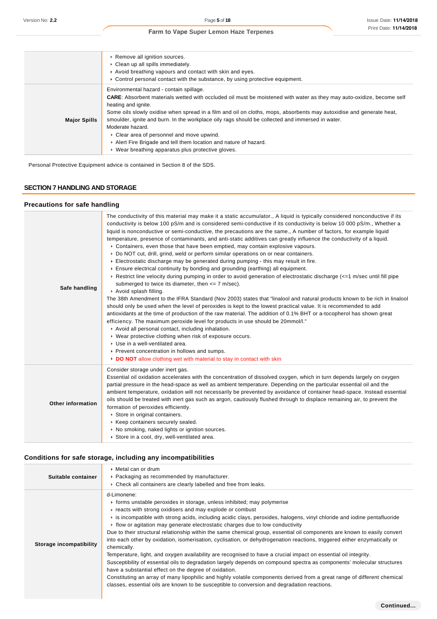| <b>Farm to Vape Super Lemon Haze Terpenes</b> |
|-----------------------------------------------|
|                                               |

|                     | Remove all ignition sources.<br>• Clean up all spills immediately.<br>Avoid breathing vapours and contact with skin and eyes.<br>► Control personal contact with the substance, by using protective equipment.                                                                                                                                                                                                                                                                                                                                                                                                         |
|---------------------|------------------------------------------------------------------------------------------------------------------------------------------------------------------------------------------------------------------------------------------------------------------------------------------------------------------------------------------------------------------------------------------------------------------------------------------------------------------------------------------------------------------------------------------------------------------------------------------------------------------------|
| <b>Major Spills</b> | Environmental hazard - contain spillage.<br><b>CARE:</b> Absorbent materials wetted with occluded oil must be moistened with water as they may auto-oxidize, become self<br>heating and ignite.<br>Some oils slowly oxidise when spread in a film and oil on cloths, mops, absorbents may autoxidise and generate heat,<br>smoulder, ignite and burn. In the workplace oily rags should be collected and immersed in water.<br>Moderate hazard.<br>• Clear area of personnel and move upwind.<br>Alert Fire Brigade and tell them location and nature of hazard.<br>• Wear breathing apparatus plus protective gloves. |

Personal Protective Equipment advice is contained in Section 8 of the SDS.

### **SECTION 7 HANDLING AND STORAGE**

## **Precautions for safe handling**

| Safe handling            | The conductivity of this material may make it a static accumulator., A liquid is typically considered nonconductive if its<br>conductivity is below 100 pS/m and is considered semi-conductive if its conductivity is below 10 000 pS/m., Whether a<br>liquid is nonconductive or semi-conductive, the precautions are the same., A number of factors, for example liquid<br>temperature, presence of contaminants, and anti-static additives can greatly influence the conductivity of a liquid.<br>► Containers, even those that have been emptied, may contain explosive vapours.<br>▶ Do NOT cut, drill, grind, weld or perform similar operations on or near containers.<br>Electrostatic discharge may be generated during pumping - this may result in fire.<br>Ensure electrical continuity by bonding and grounding (earthing) all equipment.<br>▶ Restrict line velocity during pumping in order to avoid generation of electrostatic discharge (<=1 m/sec until fill pipe<br>submerged to twice its diameter, then $\leq$ 7 m/sec).<br>Avoid splash filling.<br>The 38th Amendment to the IFRA Standard (Nov 2003) states that "linalool and natural products known to be rich in linalool<br>should only be used when the level of peroxides is kept to the lowest practical value. It is recommended to add<br>antioxidants at the time of production of the raw material. The addition of 0.1% BHT or a-tocopherol has shown great<br>efficiency. The maximum peroxide level for products in use should be 20mmol/l."<br>Avoid all personal contact, including inhalation.<br>• Wear protective clothing when risk of exposure occurs.<br>▶ Use in a well-ventilated area.<br>▶ Prevent concentration in hollows and sumps.<br>DO NOT allow clothing wet with material to stay in contact with skin |
|--------------------------|-------------------------------------------------------------------------------------------------------------------------------------------------------------------------------------------------------------------------------------------------------------------------------------------------------------------------------------------------------------------------------------------------------------------------------------------------------------------------------------------------------------------------------------------------------------------------------------------------------------------------------------------------------------------------------------------------------------------------------------------------------------------------------------------------------------------------------------------------------------------------------------------------------------------------------------------------------------------------------------------------------------------------------------------------------------------------------------------------------------------------------------------------------------------------------------------------------------------------------------------------------------------------------------------------------------------------------------------------------------------------------------------------------------------------------------------------------------------------------------------------------------------------------------------------------------------------------------------------------------------------------------------------------------------------------------------------------------------------------------------------------------------------------------------------------------------|
| <b>Other information</b> | Consider storage under inert gas.<br>Essential oil oxidation accelerates with the concentration of dissolved oxygen, which in turn depends largely on oxygen<br>partial pressure in the head-space as well as ambient temperature. Depending on the particular essential oil and the<br>ambient temperature, oxidation will not necessarily be prevented by avoidance of container head-space. Instead essential<br>oils should be treated with inert gas such as argon, cautiously flushed through to displace remaining air, to prevent the<br>formation of peroxides efficiently.<br>Store in original containers.<br>▶ Keep containers securely sealed.<br>• No smoking, naked lights or ignition sources.<br>Store in a cool, dry, well-ventilated area.                                                                                                                                                                                                                                                                                                                                                                                                                                                                                                                                                                                                                                                                                                                                                                                                                                                                                                                                                                                                                                                     |

## **Conditions for safe storage, including any incompatibilities**

| Suitable container      | ▶ Metal can or drum<br>• Packaging as recommended by manufacturer.<br>▶ Check all containers are clearly labelled and free from leaks.                                                                                                                                                                                                                                                                                                                                                                                                                                                                                                                                                                                                                                                                                                                                                                                                                                                                                                                                                                                                                                                    |  |  |  |
|-------------------------|-------------------------------------------------------------------------------------------------------------------------------------------------------------------------------------------------------------------------------------------------------------------------------------------------------------------------------------------------------------------------------------------------------------------------------------------------------------------------------------------------------------------------------------------------------------------------------------------------------------------------------------------------------------------------------------------------------------------------------------------------------------------------------------------------------------------------------------------------------------------------------------------------------------------------------------------------------------------------------------------------------------------------------------------------------------------------------------------------------------------------------------------------------------------------------------------|--|--|--|
| Storage incompatibility | d-Limonene:<br>• forms unstable peroxides in storage, unless inhibited; may polymerise<br>reacts with strong oxidisers and may explode or combust<br>is incompatible with strong acids, including acidic clays, peroxides, halogens, vinyl chloride and iodine pentafluoride<br>$\triangleright$ flow or agitation may generate electrostatic charges due to low conductivity<br>Due to their structural relationship within the same chemical group, essential oil components are known to easily convert<br>into each other by oxidation, isomerisation, cyclisation, or dehydrogenation reactions, triggered either enzymatically or<br>chemically.<br>Temperature, light, and oxygen availability are recognised to have a crucial impact on essential oil integrity.<br>Susceptibility of essential oils to degradation largely depends on compound spectra as components' molecular structures<br>have a substantial effect on the degree of oxidation.<br>Constituting an array of many lipophilic and highly volatile components derived from a great range of different chemical<br>classes, essential oils are known to be susceptible to conversion and degradation reactions. |  |  |  |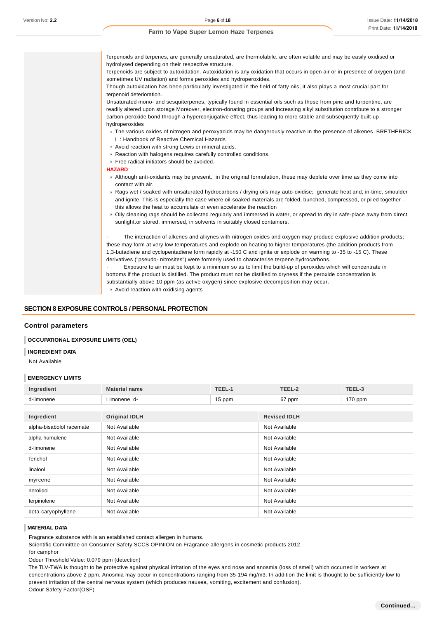| Terpenoids and terpenes, are generally unsaturated, are thermolabile, are often volatile and may be easily oxidised or                                                                                                                                                                                                                                                               |
|--------------------------------------------------------------------------------------------------------------------------------------------------------------------------------------------------------------------------------------------------------------------------------------------------------------------------------------------------------------------------------------|
| hydrolysed depending on their respective structure.                                                                                                                                                                                                                                                                                                                                  |
| Terpenoids are subject to autoxidation. Autoxidation is any oxidation that occurs in open air or in presence of oxygen (and<br>sometimes UV radiation) and forms peroxides and hydroperoxides.                                                                                                                                                                                       |
| Though autoxidation has been particularly investigated in the field of fatty oils, it also plays a most crucial part for<br>terpenoid deterioration.                                                                                                                                                                                                                                 |
| Unsaturated mono- and sesquiterpenes, typically found in essential oils such as those from pine and turpentine, are<br>readily altered upon storage Moreover, electron-donating groups and increasing alkyl substitution contribute to a stronger<br>carbon-peroxide bond through a hyperconjugative effect, thus leading to more stable and subsequently built-up<br>hydroperoxides |
| The various oxides of nitrogen and peroxyacids may be dangerously reactive in the presence of alkenes. BRETHERICK<br>L.: Handbook of Reactive Chemical Hazards                                                                                                                                                                                                                       |
| Avoid reaction with strong Lewis or mineral acids.                                                                                                                                                                                                                                                                                                                                   |
| Reaction with halogens requires carefully controlled conditions.                                                                                                                                                                                                                                                                                                                     |
| ▶ Free radical initiators should be avoided.                                                                                                                                                                                                                                                                                                                                         |
| <b>HAZARD:</b>                                                                                                                                                                                                                                                                                                                                                                       |
| Although anti-oxidants may be present, in the original formulation, these may deplete over time as they come into<br>contact with air.                                                                                                                                                                                                                                               |
| ▶ Rags wet / soaked with unsaturated hydrocarbons / drying oils may auto-oxidise; generate heat and, in-time, smoulder<br>and ignite. This is especially the case where oil-soaked materials are folded, bunched, compressed, or piled together -<br>this allows the heat to accumulate or even accelerate the reaction                                                              |
| ▶ Oily cleaning rags should be collected regularly and immersed in water, or spread to dry in safe-place away from direct<br>sunlight or stored, immersed, in solvents in suitably closed containers.                                                                                                                                                                                |
| The interaction of alkenes and alkynes with nitrogen oxides and oxygen may produce explosive addition products;<br>these may form at very low temperatures and explode on heating to higher temperatures (the addition products from                                                                                                                                                 |
| 1,3-butadiene and cyclopentadiene form rapidly at -150 C and ignite or explode on warming to -35 to -15 C). These                                                                                                                                                                                                                                                                    |
| derivatives ("pseudo- nitrosites") were formerly used to characterise terpene hydrocarbons.                                                                                                                                                                                                                                                                                          |
| Exposure to air must be kept to a minimum so as to limit the build-up of peroxides which will concentrate in                                                                                                                                                                                                                                                                         |
| bottoms if the product is distilled. The product must not be distilled to dryness if the peroxide concentration is                                                                                                                                                                                                                                                                   |
| substantially above 10 ppm (as active oxygen) since explosive decomposition may occur.                                                                                                                                                                                                                                                                                               |
| Avoid reaction with oxidising agents                                                                                                                                                                                                                                                                                                                                                 |

### **SECTION 8 EXPOSURE CONTROLS / PERSONAL PROTECTION**

#### **Control parameters**

#### **OCCUPATIONAL EXPOSURE LIMITS (OEL)**

#### **INGREDIENT DATA**

Not Available

#### **EMERGENCY LIMITS**

| Ingredient               | <b>Material name</b> | TEEL-1 | TEEL-2              | TEEL-3    |  |
|--------------------------|----------------------|--------|---------------------|-----------|--|
| d-limonene               | Limonene, d-         | 15 ppm | 67 ppm              | $170$ ppm |  |
|                          |                      |        |                     |           |  |
| Ingredient               | <b>Original IDLH</b> |        | <b>Revised IDLH</b> |           |  |
| alpha-bisabolol racemate | Not Available        |        | Not Available       |           |  |
| alpha-humulene           | Not Available        |        | Not Available       |           |  |
| d-limonene               | Not Available        |        | Not Available       |           |  |
| fenchol                  | Not Available        |        | Not Available       |           |  |
| linalool                 | Not Available        |        | Not Available       |           |  |
| myrcene                  | Not Available        |        | Not Available       |           |  |
| nerolidol                | Not Available        |        | Not Available       |           |  |
| terpinolene              | Not Available        |        | Not Available       |           |  |
| beta-caryophyllene       | Not Available        |        | Not Available       |           |  |

#### **MATERIAL DATA**

Fragrance substance with is an established contact allergen in humans.

Scientific Committee on Consumer Safety SCCS OPINION on Fragrance allergens in cosmetic products 2012 for camphor

Odour Threshold Value: 0.079 ppm (detection)

The TLV-TWA is thought to be protective against physical irritation of the eyes and nose and anosmia (loss of smell) which occurred in workers at concentrations above 2 ppm. Anosmia may occur in concentrations ranging from 35-194 mg/m3. In addition the limit is thought to be sufficiently low to prevent irritation of the central nervous system (which produces nausea, vomiting, excitement and confusion). Odour Safety Factor(OSF)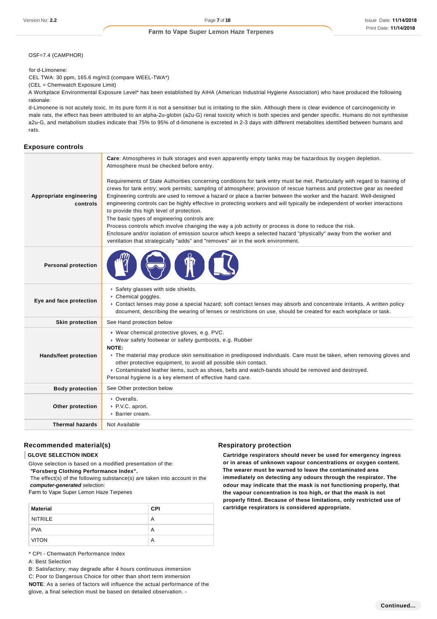OSF=7.4 (CAMPHOR)

for d-Limonene:

CEL TWA: 30 ppm, 165.6 mg/m3 (compare WEEL-TWA\*)

(CEL = Chemwatch Exposure Limit)

A Workplace Environmental Exposure Level\* has been established by AIHA (American Industrial Hygiene Association) who have produced the following rationale:

d-Limonene is not acutely toxic. In its pure form it is not a sensitiser but is irritating to the skin. Although there is clear evidence of carcinogenicity in male rats, the effect has been attributed to an alpha-2u-globin (a2u-G) renal toxicity which is both species and gender specific. Humans do not synthesise a2u-G, and metabolism studies indicate that 75% to 95% of d-limonene is excreted in 2-3 days with different metabolites identified between humans and rats.

#### **Exposure controls**

| Appropriate engineering<br>controls | Care: Atmospheres in bulk storages and even apparently empty tanks may be hazardous by oxygen depletion.<br>Atmosphere must be checked before entry.<br>Requirements of State Authorities concerning conditions for tank entry must be met. Particularly with regard to training of<br>crews for tank entry; work permits; sampling of atmosphere; provision of rescue harness and protective gear as needed<br>Engineering controls are used to remove a hazard or place a barrier between the worker and the hazard. Well-designed<br>engineering controls can be highly effective in protecting workers and will typically be independent of worker interactions<br>to provide this high level of protection.<br>The basic types of engineering controls are:<br>Process controls which involve changing the way a job activity or process is done to reduce the risk.<br>Enclosure and/or isolation of emission source which keeps a selected hazard "physically" away from the worker and<br>ventilation that strategically "adds" and "removes" air in the work environment. |  |
|-------------------------------------|------------------------------------------------------------------------------------------------------------------------------------------------------------------------------------------------------------------------------------------------------------------------------------------------------------------------------------------------------------------------------------------------------------------------------------------------------------------------------------------------------------------------------------------------------------------------------------------------------------------------------------------------------------------------------------------------------------------------------------------------------------------------------------------------------------------------------------------------------------------------------------------------------------------------------------------------------------------------------------------------------------------------------------------------------------------------------------|--|
| <b>Personal protection</b>          |                                                                                                                                                                                                                                                                                                                                                                                                                                                                                                                                                                                                                                                                                                                                                                                                                                                                                                                                                                                                                                                                                    |  |
| Eye and face protection             | Safety glasses with side shields.<br>Chemical goggles.<br>▶ Contact lenses may pose a special hazard; soft contact lenses may absorb and concentrate irritants. A written policy<br>document, describing the wearing of lenses or restrictions on use, should be created for each workplace or task.                                                                                                                                                                                                                                                                                                                                                                                                                                                                                                                                                                                                                                                                                                                                                                               |  |
| <b>Skin protection</b>              | See Hand protection below                                                                                                                                                                                                                                                                                                                                                                                                                                                                                                                                                                                                                                                                                                                                                                                                                                                                                                                                                                                                                                                          |  |
| <b>Hands/feet protection</b>        | ▶ Wear chemical protective gloves, e.g. PVC.<br>▶ Wear safety footwear or safety gumboots, e.g. Rubber<br><b>NOTE:</b><br>▶ The material may produce skin sensitisation in predisposed individuals. Care must be taken, when removing gloves and<br>other protective equipment, to avoid all possible skin contact.<br>▶ Contaminated leather items, such as shoes, belts and watch-bands should be removed and destroyed.<br>Personal hygiene is a key element of effective hand care.                                                                                                                                                                                                                                                                                                                                                                                                                                                                                                                                                                                            |  |
| <b>Body protection</b>              | See Other protection below                                                                                                                                                                                                                                                                                                                                                                                                                                                                                                                                                                                                                                                                                                                                                                                                                                                                                                                                                                                                                                                         |  |
| Other protection                    | • Overalls.<br>▶ P.V.C. apron.<br>▶ Barrier cream.                                                                                                                                                                                                                                                                                                                                                                                                                                                                                                                                                                                                                                                                                                                                                                                                                                                                                                                                                                                                                                 |  |
| <b>Thermal hazards</b>              | Not Available                                                                                                                                                                                                                                                                                                                                                                                                                                                                                                                                                                                                                                                                                                                                                                                                                                                                                                                                                                                                                                                                      |  |

### **Recommended material(s)**

## **GLOVE SELECTION INDEX**

Glove selection is based on a modified presentation of the:  **"Forsberg Clothing Performance Index".**

 The effect(s) of the following substance(s) are taken into account in the **computer-generated** selection:

Farm to Vape Super Lemon Haze Terpenes

| <b>Material</b> | <b>CPI</b> |
|-----------------|------------|
| <b>NITRILE</b>  | A          |
| <b>PVA</b>      | А          |
| <b>VITON</b>    | А          |

\* CPI - Chemwatch Performance Index

A: Best Selection

B: Satisfactory; may degrade after 4 hours continuous immersion

C: Poor to Dangerous Choice for other than short term immersion

**NOTE**: As a series of factors will influence the actual performance of the glove, a final selection must be based on detailed observation. -

#### **Respiratory protection**

**Cartridge respirators should never be used for emergency ingress or in areas of unknown vapour concentrations or oxygen content. The wearer must be warned to leave the contaminated area immediately on detecting any odours through the respirator. The odour may indicate that the mask is not functioning properly, that the vapour concentration is too high, or that the mask is not properly fitted. Because of these limitations, only restricted use of cartridge respirators is considered appropriate.**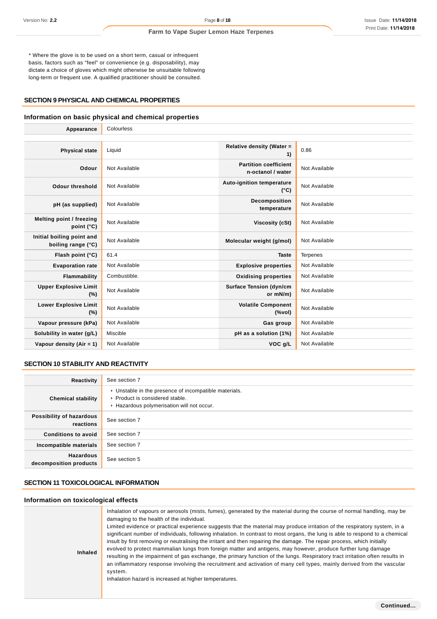\* Where the glove is to be used on a short term, casual or infrequent basis, factors such as "feel" or convenience (e.g. disposability), may dictate a choice of gloves which might otherwise be unsuitable following long-term or frequent use. A qualified practitioner should be consulted.

#### **SECTION 9 PHYSICAL AND CHEMICAL PROPERTIES**

### **Information on basic physical and chemical properties**

| Appearance                                      | Colourless    |                                                   |                 |
|-------------------------------------------------|---------------|---------------------------------------------------|-----------------|
|                                                 |               |                                                   |                 |
| <b>Physical state</b>                           | Liquid        | Relative density (Water =<br>1)                   | 0.86            |
| Odour                                           | Not Available | <b>Partition coefficient</b><br>n-octanol / water | Not Available   |
| <b>Odour threshold</b>                          | Not Available | <b>Auto-ignition temperature</b><br>$(^{\circ}C)$ | Not Available   |
| pH (as supplied)                                | Not Available | Decomposition<br>temperature                      | Not Available   |
| Melting point / freezing<br>point $(^{\circ}C)$ | Not Available | Viscosity (cSt)                                   | Not Available   |
| Initial boiling point and<br>boiling range (°C) | Not Available | Molecular weight (g/mol)                          | Not Available   |
| Flash point (°C)                                | 61.4          | <b>Taste</b>                                      | <b>Terpenes</b> |
| <b>Evaporation rate</b>                         | Not Available | <b>Explosive properties</b>                       | Not Available   |
| Flammability                                    | Combustible.  | <b>Oxidising properties</b>                       | Not Available   |
| <b>Upper Explosive Limit</b><br>(%)             | Not Available | <b>Surface Tension (dyn/cm</b><br>or mN/m)        | Not Available   |
| <b>Lower Explosive Limit</b><br>(%)             | Not Available | <b>Volatile Component</b><br>(%vol)               | Not Available   |
| Vapour pressure (kPa)                           | Not Available | Gas group                                         | Not Available   |
| Solubility in water (g/L)                       | Miscible      | pH as a solution (1%)                             | Not Available   |
| Vapour density $(Air = 1)$                      | Not Available | VOC g/L                                           | Not Available   |

### **SECTION 10 STABILITY AND REACTIVITY**

| Reactivity                                 | See section 7                                                                                                                        |
|--------------------------------------------|--------------------------------------------------------------------------------------------------------------------------------------|
| <b>Chemical stability</b>                  | • Unstable in the presence of incompatible materials.<br>▶ Product is considered stable.<br>Hazardous polymerisation will not occur. |
| Possibility of hazardous<br>reactions      | See section 7                                                                                                                        |
| <b>Conditions to avoid</b>                 | See section 7                                                                                                                        |
| Incompatible materials                     | See section 7                                                                                                                        |
| <b>Hazardous</b><br>decomposition products | See section 5                                                                                                                        |

## **SECTION 11 TOXICOLOGICAL INFORMATION**

## **Information on toxicological effects**

| <b>Inhaled</b> | Inhalation of vapours or aerosols (mists, fumes), generated by the material during the course of normal handling, may be<br>damaging to the health of the individual.<br>Limited evidence or practical experience suggests that the material may produce irritation of the respiratory system, in a<br>significant number of individuals, following inhalation. In contrast to most organs, the lung is able to respond to a chemical<br>insult by first removing or neutralising the irritant and then repairing the damage. The repair process, which initially<br>evolved to protect mammalian lungs from foreign matter and antigens, may however, produce further lung damage<br>resulting in the impairment of gas exchange, the primary function of the lungs. Respiratory tract irritation often results in<br>an inflammatory response involving the recruitment and activation of many cell types, mainly derived from the vascular<br>system.<br>Inhalation hazard is increased at higher temperatures. |
|----------------|--------------------------------------------------------------------------------------------------------------------------------------------------------------------------------------------------------------------------------------------------------------------------------------------------------------------------------------------------------------------------------------------------------------------------------------------------------------------------------------------------------------------------------------------------------------------------------------------------------------------------------------------------------------------------------------------------------------------------------------------------------------------------------------------------------------------------------------------------------------------------------------------------------------------------------------------------------------------------------------------------------------------|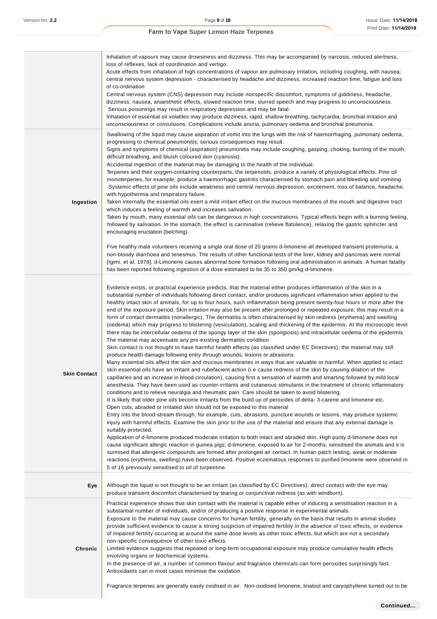|                     | Inhalation of vapours may cause drowsiness and dizziness. This may be accompanied by narcosis, reduced alertness,<br>loss of reflexes, lack of coordination and vertigo.<br>Acute effects from inhalation of high concentrations of vapour are pulmonary irritation, including coughing, with nausea;<br>central nervous system depression - characterised by headache and dizziness, increased reaction time, fatigue and loss<br>of co-ordination<br>Central nervous system (CNS) depression may include nonspecific discomfort, symptoms of giddiness, headache,<br>dizziness, nausea, anaesthetic effects, slowed reaction time, slurred speech and may progress to unconsciousness.<br>Serious poisonings may result in respiratory depression and may be fatal.<br>Inhalation of essential oil volatiles may produce dizziness, rapid, shallow breathing, tachycardia, bronchial irritation and<br>unconsciousness or convulsions. Complications include anuria, pulmonary oedema and bronchial pneumonia.                                                                                                                                                                                                                                                                                                                                                                                                                                                                                                                                                                                                                                                                                                                                                                                                                                                                                                                                                                                                                                                                                                                                                                                                                                                                                                                                                                                                                                                                                                                                                                                                                                                                                                                                                                                                                                 |
|---------------------|--------------------------------------------------------------------------------------------------------------------------------------------------------------------------------------------------------------------------------------------------------------------------------------------------------------------------------------------------------------------------------------------------------------------------------------------------------------------------------------------------------------------------------------------------------------------------------------------------------------------------------------------------------------------------------------------------------------------------------------------------------------------------------------------------------------------------------------------------------------------------------------------------------------------------------------------------------------------------------------------------------------------------------------------------------------------------------------------------------------------------------------------------------------------------------------------------------------------------------------------------------------------------------------------------------------------------------------------------------------------------------------------------------------------------------------------------------------------------------------------------------------------------------------------------------------------------------------------------------------------------------------------------------------------------------------------------------------------------------------------------------------------------------------------------------------------------------------------------------------------------------------------------------------------------------------------------------------------------------------------------------------------------------------------------------------------------------------------------------------------------------------------------------------------------------------------------------------------------------------------------------------------------------------------------------------------------------------------------------------------------------------------------------------------------------------------------------------------------------------------------------------------------------------------------------------------------------------------------------------------------------------------------------------------------------------------------------------------------------------------------------------------------------------------------------------------------------------------------|
| Ingestion           | Swallowing of the liquid may cause aspiration of vomit into the lungs with the risk of haemorrhaging, pulmonary oedema,<br>progressing to chemical pneumonitis; serious consequences may result.<br>Signs and symptoms of chemical (aspiration) pneumonitis may include coughing, gasping, choking, burning of the mouth,<br>difficult breathing, and bluish coloured skin (cyanosis).<br>Accidental ingestion of the material may be damaging to the health of the individual.<br>Terpenes and their oxygen-containing counterparts, the terpenoids, produce a variety of physiological effects. Pine oil<br>monoterpenes, for example, produce a haemorrhagic gastritis characterised by stomach pain and bleeding and vomiting.<br>Systemic effects of pine oils include weakness and central nervous depression, excitement, loss of balance, headache,<br>with hypothermia and respiratory failure.<br>Taken internally the essential oils exert a mild irritant effect on the mucous membranes of the mouth and digestive tract<br>which induces a feeling of warmth and increases salivation.<br>Taken by mouth, many essential oils can be dangerous in high concentrations. Typical effects begin with a burning feeling,<br>followed by salivation. In the stomach, the effect is carminative (relieve flatulence), relaxing the gastric sphincter and<br>encouraging eructation (belching).<br>Five healthy male volunteers receiving a single oral dose of 20 grams d-limonene all developed transient proteinuria, a<br>non-bloody diarrhoea and tenesmus. The results of other functional tests of the liver, kidney and pancreas were normal<br>[Igimi, et al, 1976]. d-Limonene causes abnormal bone formation following oral administration in animals. A human fatality<br>has been reported following ingestion of a dose estimated to be 35 to 350 gm/kg d-limonene.                                                                                                                                                                                                                                                                                                                                                                                                                                                                                                                                                                                                                                                                                                                                                                                                                                                                                                                                                         |
| <b>Skin Contact</b> | Evidence exists, or practical experience predicts, that the material either produces inflammation of the skin in a<br>substantial number of individuals following direct contact, and/or produces significant inflammation when applied to the<br>healthy intact skin of animals, for up to four hours, such inflammation being present twenty-four hours or more after the<br>end of the exposure period. Skin irritation may also be present after prolonged or repeated exposure; this may result in a<br>form of contact dermatitis (nonallergic). The dermatitis is often characterised by skin redness (erythema) and swelling<br>(oedema) which may progress to blistering (vesiculation), scaling and thickening of the epidermis. At the microscopic level<br>there may be intercellular oedema of the spongy layer of the skin (spongiosis) and intracellular oedema of the epidermis.<br>The material may accentuate any pre-existing dermatitis condition<br>Skin contact is not thought to have harmful health effects (as classified under EC Directives); the material may still<br>produce health damage following entry through wounds, lesions or abrasions.<br>Many essential oils affect the skin and mucous membranes in ways that are valuable or harmful. When applied to intact<br>skin essential oils have an irritant and rubefacient action (i.e cause redness of the skin by causing dilation of the<br>capillaries and an increase in blood circulation), causing first a sensation of warmth and smarting followed by mild local<br>anesthesia. They have been used as counter-irritants and cutaneous stimulants in the treatment of chronic inflammatory<br>conditions and to relieve neuralgia and rheumatic pain. Care should be taken to avoid blistering.<br>It is likely that older pine oils become irritants from the build up of peroxides of delta-3-carene and limonene etc.<br>Open cuts, abraded or irritated skin should not be exposed to this material<br>Entry into the blood-stream through, for example, cuts, abrasions, puncture wounds or lesions, may produce systemic<br>injury with harmful effects. Examine the skin prior to the use of the material and ensure that any external damage is<br>suitably protected.<br>Application of d-limonene produced moderate irritation to both intact and abraded skin. High purity d-limonene does not<br>cause significant allergic reaction in guinea pigs; d-limonene, exposed to air for 2-months, sensitised the animals and it is<br>surmised that allergenic compounds are formed after prolonged air contact. In human patch testing, weak or moderate<br>reactions (erythema, swelling) have been observed. Positive eczematous responses to purified limonene were observed in<br>5 of 16 previously sensitised to oil of turpentine. |
| Eye                 | Although the liquid is not thought to be an irritant (as classified by EC Directives), direct contact with the eye may<br>produce transient discomfort characterised by tearing or conjunctival redness (as with windburn).                                                                                                                                                                                                                                                                                                                                                                                                                                                                                                                                                                                                                                                                                                                                                                                                                                                                                                                                                                                                                                                                                                                                                                                                                                                                                                                                                                                                                                                                                                                                                                                                                                                                                                                                                                                                                                                                                                                                                                                                                                                                                                                                                                                                                                                                                                                                                                                                                                                                                                                                                                                                                      |
| Chronic             | Practical experience shows that skin contact with the material is capable either of inducing a sensitisation reaction in a<br>substantial number of individuals, and/or of producing a positive response in experimental animals.<br>Exposure to the material may cause concerns for human fertility, generally on the basis that results in animal studies<br>provide sufficient evidence to cause a strong suspicion of impaired fertility in the absence of toxic effects, or evidence<br>of impaired fertility occurring at around the same dose levels as other toxic effects, but which are not a secondary<br>non-specific consequence of other toxic effects.<br>Limited evidence suggests that repeated or long-term occupational exposure may produce cumulative health effects<br>involving organs or biochemical systems.<br>In the presence of air, a number of common flavour and fragrance chemicals can form peroxides surprisingly fast.<br>Antioxidants can in most cases minimise the oxidation.<br>Fragrance terpenes are generally easily oxidised in air. Non-oxidised limonene, linalool and caryophyllene turned out to be                                                                                                                                                                                                                                                                                                                                                                                                                                                                                                                                                                                                                                                                                                                                                                                                                                                                                                                                                                                                                                                                                                                                                                                                                                                                                                                                                                                                                                                                                                                                                                                                                                                                                               |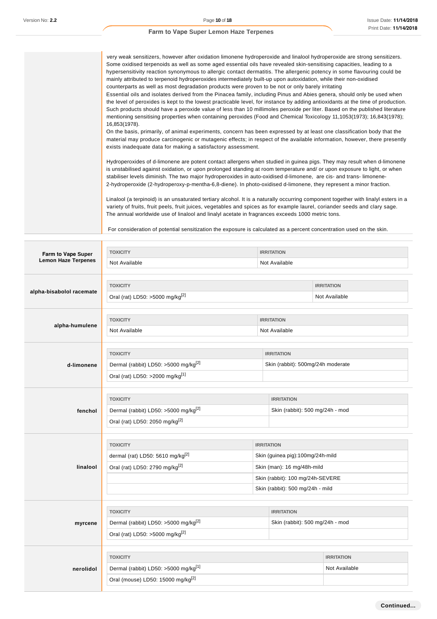| very weak sensitizers, however after oxidation limonene hydroperoxide and linalool hydroperoxide are strong sensitizers.           |
|------------------------------------------------------------------------------------------------------------------------------------|
| Some oxidised terpenoids as well as some aged essential oils have revealed skin-sensitising capacities, leading to a               |
| hypersensitivity reaction synonymous to allergic contact dermatitis. The allergenic potency in some flavouring could be            |
| mainly attributed to terpenoid hydroperoxides intermediately built-up upon autoxidation, while their non-oxidised                  |
| counterparts as well as most degradation products were proven to be not or only barely irritating                                  |
| Essential oils and isolates derived from the Pinacea family, including Pinus and Abies genera, should only be used when            |
| the level of peroxides is kept to the lowest practicable level, for instance by adding antioxidants at the time of production.     |
| Such products should have a peroxide value of less than 10 millimoles peroxide per liter. Based on the published literature        |
| mentioning sensitising properties when containing peroxides (Food and Chemical Toxicology 11,1053(1973); 16,843(1978);             |
| 16,853(1978).                                                                                                                      |
| On the basis, primarily, of animal experiments, concern has been expressed by at least one classification body that the            |
| material may produce carcinogenic or mutagenic effects; in respect of the available information, however, there presently          |
| exists inadequate data for making a satisfactory assessment.                                                                       |
|                                                                                                                                    |
| Hydroperoxides of d-limonene are potent contact allergens when studied in guinea pigs. They may result when d-limonene             |
| is unstabilised against oxidation, or upon prolonged standing at room temperature and/ or upon exposure to light, or when          |
| stabiliser levels diminish. The two major hydroperoxides in auto-oxidised d-limonene, are cis- and trans-limonene-                 |
| 2-hydroperoxide (2-hydroperoxy-p-mentha-6,8-diene). In photo-oxidised d-limonene, they represent a minor fraction.                 |
|                                                                                                                                    |
| Linalool (a terpinoid) is an unsaturated tertiary alcohol. It is a naturally occurring component together with linalyl esters in a |
| variety of fruits, fruit peels, fruit juices, vegetables and spices as for example laurel, coriander seeds and clary sage.         |
| The annual worldwide use of linalool and linalyl acetate in fragrances exceeds 1000 metric tons.                                   |
|                                                                                                                                    |
| For consideration of potential sensitization the exposure is calculated as a percent concentration used on the skin.               |

| Farm to Vape Super         | <b>TOXICITY</b>                                                                                                      |                                                        | <b>IRRITATION</b>                                                                                                                                           |                                    |  |  |
|----------------------------|----------------------------------------------------------------------------------------------------------------------|--------------------------------------------------------|-------------------------------------------------------------------------------------------------------------------------------------------------------------|------------------------------------|--|--|
| <b>Lemon Haze Terpenes</b> | Not Available<br>Not Available                                                                                       |                                                        |                                                                                                                                                             |                                    |  |  |
| alpha-bisabolol racemate   | <b>TOXICITY</b><br>Oral (rat) LD50: >5000 mg/kg <sup>[2]</sup>                                                       |                                                        |                                                                                                                                                             | <b>IRRITATION</b><br>Not Available |  |  |
| alpha-humulene             | <b>TOXICITY</b><br>Not Available                                                                                     | <b>IRRITATION</b><br>Not Available                     |                                                                                                                                                             |                                    |  |  |
| d-limonene                 | <b>TOXICITY</b><br>Dermal (rabbit) LD50: >5000 mg/kg <sup>[2]</sup><br>Oral (rat) LD50: >2000 mg/kg <sup>[1]</sup>   | <b>IRRITATION</b><br>Skin (rabbit): 500mg/24h moderate |                                                                                                                                                             |                                    |  |  |
| fenchol                    | <b>TOXICITY</b><br>Dermal (rabbit) LD50: >5000 mg/kg <sup>[2]</sup><br>Oral (rat) LD50: 2050 mg/kg[2]                | <b>IRRITATION</b><br>Skin (rabbit): 500 mg/24h - mod   |                                                                                                                                                             |                                    |  |  |
| linalool                   | <b>TOXICITY</b><br>dermal (rat) LD50: 5610 mg/kg[2]<br>Oral (rat) LD50: 2790 mg/kg <sup>[2]</sup>                    |                                                        | <b>IRRITATION</b><br>Skin (guinea pig):100mg/24h-mild<br>Skin (man): 16 mg/48h-mild<br>Skin (rabbit): 100 mg/24h-SEVERE<br>Skin (rabbit): 500 mg/24h - mild |                                    |  |  |
| myrcene                    | <b>TOXICITY</b><br>Dermal (rabbit) LD50: >5000 mg/kg <sup>[2]</sup><br>Oral (rat) LD50: >5000 mg/kg <sup>[2]</sup>   | Skin (rabbit): 500 mg/24h - mod                        |                                                                                                                                                             |                                    |  |  |
| nerolidol                  | <b>TOXICITY</b><br>Dermal (rabbit) LD50: >5000 mg/kg <sup>[1]</sup><br>Oral (mouse) LD50: 15000 mg/kg <sup>[2]</sup> |                                                        |                                                                                                                                                             | <b>IRRITATION</b><br>Not Available |  |  |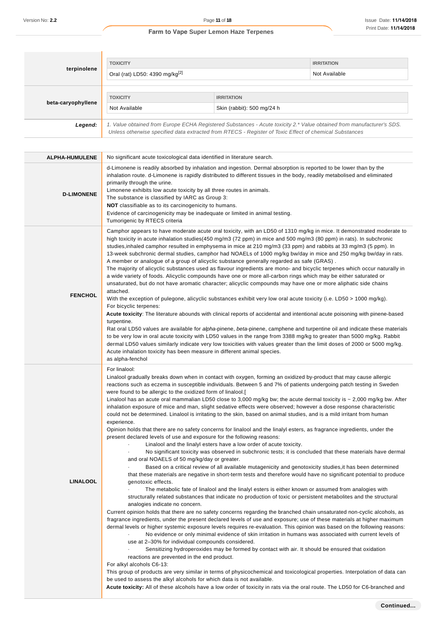| terpinolene        | <b>TOXICITY</b><br>Oral (rat) LD50: 4390 mg/kg <sup>[2]</sup>                                                                                                                                                                   | <b>IRRITATION</b><br>Not Available |  |  |
|--------------------|---------------------------------------------------------------------------------------------------------------------------------------------------------------------------------------------------------------------------------|------------------------------------|--|--|
| beta-caryophyllene | <b>TOXICITY</b><br><b>IRRITATION</b><br>Not Available<br>Skin (rabbit): 500 mg/24 h                                                                                                                                             |                                    |  |  |
| Legend:            | 1. Value obtained from Europe ECHA Registered Substances - Acute toxicity 2.* Value obtained from manufacturer's SDS.<br>Unless otherwise specified data extracted from RTECS - Register of Toxic Effect of chemical Substances |                                    |  |  |

| d-Limonene is readily absorbed by inhalation and ingestion. Dermal absorption is reported to be lower than by the<br>inhalation route. d-Limonene is rapidly distributed to different tissues in the body, readily metabolised and eliminated<br>primarily through the urine.<br>Limonene exhibits low acute toxicity by all three routes in animals.<br><b>D-LIMONENE</b><br>The substance is classified by IARC as Group 3:<br><b>NOT</b> classifiable as to its carcinogenicity to humans.<br>Evidence of carcinogenicity may be inadequate or limited in animal testing.<br>Tumorigenic by RTECS criteria<br>Camphor appears to have moderate acute oral toxicity, with an LD50 of 1310 mg/kg in mice. It demonstrated moderate to<br>high toxicity in acute inhalation studies(450 mg/m3 (72 ppm) in mice and 500 mg/m3 (80 ppm) in rats). In subchronic<br>studies, inhaled camphor resulted in emphysema in mice at 210 mg/m3 (33 ppm) and rabbits at 33 mg/m3 (5 ppm). In<br>13-week subchronic dermal studies, camphor had NOAELs of 1000 mg/kg bw/day in mice and 250 mg/kg bw/day in rats.<br>A member or analogue of a group of alicyclic substance generally regarded as safe (GRAS).<br>The majority of alicyclic substances used as flavour ingredients are mono- and bicyclic terpenes which occur naturally in<br>a wide variety of foods. Alicyclic compounds have one or more all-carbon rings which may be either saturated or<br>unsaturated, but do not have aromatic character; alicyclic compounds may have one or more aliphatic side chains<br>attached.<br><b>FENCHOL</b><br>With the exception of pulegone, alicyclic substances exhibit very low oral acute toxicity (i.e. LD50 > 1000 mg/kg).<br>For bicyclic terpenes:<br>Acute toxicity: The literature abounds with clinical reports of accidental and intentional acute poisoning with pinene-based<br>turpentine.<br>Rat oral LD50 values are available for alpha-pinene, beta-pinene, camphene and turpentine oil and indicate these materials<br>to be very low in oral acute toxicity with LD50 values in the range from 3388 mg/kg to greater than 5000 mg/kg. Rabbit<br>dermal LD50 values similarly indicate very low toxicities with values greater than the limit doses of 2000 or 5000 mg/kg.<br>Acute inhalation toxicity has been measure in different animal species.<br>as alpha-fenchol<br>For linalool:<br>Linalool gradually breaks down when in contact with oxygen, forming an oxidized by-product that may cause allergic<br>reactions such as eczema in susceptible individuals. Between 5 and 7% of patients undergoing patch testing in Sweden<br>were found to be allergic to the oxidized form of linalool.[<br>Linalool has an acute oral mammalian LD50 close to 3,000 mg/kg bw; the acute dermal toxicity is $\sim$ 2,000 mg/kg bw. After<br>inhalation exposure of mice and man, slight sedative effects were observed; however a dose response characteristic<br>could not be determined. Linalool is irritating to the skin, based on animal studies, and is a mild irritant from human<br>experience.<br>Opinion holds that there are no safety concerns for linalool and the linalyl esters, as fragrance ingredients, under the<br>present declared levels of use and exposure for the following reasons:<br>Linalool and the linalyl esters have a low order of acute toxicity.<br>No significant toxicity was observed in subchronic tests; it is concluded that these materials have dermal<br>and oral NOAELS of 50 mg/kg/day or greater.<br>Based on a critical review of all available mutagenicity and genotoxicity studies, it has been determined<br>that these materials are negative in short-term tests and therefore would have no significant potential to produce<br><b>LINALOOL</b><br>genotoxic effects.<br>The metabolic fate of linalool and the linalyl esters is either known or assumed from analogies with<br>structurally related substances that indicate no production of toxic or persistent metabolites and the structural<br>analogies indicate no concern.<br>Current opinion holds that there are no safety concerns regarding the branched chain unsaturated non-cyclic alcohols, as<br>fragrance ingredients, under the present declared levels of use and exposure; use of these materials at higher maximum<br>dermal levels or higher systemic exposure levels requires re-evaluation. This opinion was based on the following reasons:<br>No evidence or only minimal evidence of skin irritation in humans was associated with current levels of<br>use at 2-30% for individual compounds considered.<br>Sensitizing hydroperoxides may be formed by contact with air. It should be ensured that oxidation<br>reactions are prevented in the end product.<br>For alkyl alcohols C6-13:<br>This group of products are very similar in terms of physicochemical and toxicological properties. Interpolation of data can<br>be used to assess the alkyl alcohols for which data is not available. | ALPHA-HUMULENE | No significant acute toxicological data identified in literature search.                                                    |
|----------------------------------------------------------------------------------------------------------------------------------------------------------------------------------------------------------------------------------------------------------------------------------------------------------------------------------------------------------------------------------------------------------------------------------------------------------------------------------------------------------------------------------------------------------------------------------------------------------------------------------------------------------------------------------------------------------------------------------------------------------------------------------------------------------------------------------------------------------------------------------------------------------------------------------------------------------------------------------------------------------------------------------------------------------------------------------------------------------------------------------------------------------------------------------------------------------------------------------------------------------------------------------------------------------------------------------------------------------------------------------------------------------------------------------------------------------------------------------------------------------------------------------------------------------------------------------------------------------------------------------------------------------------------------------------------------------------------------------------------------------------------------------------------------------------------------------------------------------------------------------------------------------------------------------------------------------------------------------------------------------------------------------------------------------------------------------------------------------------------------------------------------------------------------------------------------------------------------------------------------------------------------------------------------------------------------------------------------------------------------------------------------------------------------------------------------------------------------------------------------------------------------------------------------------------------------------------------------------------------------------------------------------------------------------------------------------------------------------------------------------------------------------------------------------------------------------------------------------------------------------------------------------------------------------------------------------------------------------------------------------------------------------------------------------------------------------------------------------------------------------------------------------------------------------------------------------------------------------------------------------------------------------------------------------------------------------------------------------------------------------------------------------------------------------------------------------------------------------------------------------------------------------------------------------------------------------------------------------------------------------------------------------------------------------------------------------------------------------------------------------------------------------------------------------------------------------------------------------------------------------------------------------------------------------------------------------------------------------------------------------------------------------------------------------------------------------------------------------------------------------------------------------------------------------------------------------------------------------------------------------------------------------------------------------------------------------------------------------------------------------------------------------------------------------------------------------------------------------------------------------------------------------------------------------------------------------------------------------------------------------------------------------------------------------------------------------------------------------------------------------------------------------------------------------------------------------------------------------------------------------------------------------------------------------------------------------------------------------------------------------------------------------------------------------|----------------|-----------------------------------------------------------------------------------------------------------------------------|
|                                                                                                                                                                                                                                                                                                                                                                                                                                                                                                                                                                                                                                                                                                                                                                                                                                                                                                                                                                                                                                                                                                                                                                                                                                                                                                                                                                                                                                                                                                                                                                                                                                                                                                                                                                                                                                                                                                                                                                                                                                                                                                                                                                                                                                                                                                                                                                                                                                                                                                                                                                                                                                                                                                                                                                                                                                                                                                                                                                                                                                                                                                                                                                                                                                                                                                                                                                                                                                                                                                                                                                                                                                                                                                                                                                                                                                                                                                                                                                                                                                                                                                                                                                                                                                                                                                                                                                                                                                                                                                                                                                                                                                                                                                                                                                                                                                                                                                                                                                                                                                                          |                |                                                                                                                             |
|                                                                                                                                                                                                                                                                                                                                                                                                                                                                                                                                                                                                                                                                                                                                                                                                                                                                                                                                                                                                                                                                                                                                                                                                                                                                                                                                                                                                                                                                                                                                                                                                                                                                                                                                                                                                                                                                                                                                                                                                                                                                                                                                                                                                                                                                                                                                                                                                                                                                                                                                                                                                                                                                                                                                                                                                                                                                                                                                                                                                                                                                                                                                                                                                                                                                                                                                                                                                                                                                                                                                                                                                                                                                                                                                                                                                                                                                                                                                                                                                                                                                                                                                                                                                                                                                                                                                                                                                                                                                                                                                                                                                                                                                                                                                                                                                                                                                                                                                                                                                                                                          |                |                                                                                                                             |
|                                                                                                                                                                                                                                                                                                                                                                                                                                                                                                                                                                                                                                                                                                                                                                                                                                                                                                                                                                                                                                                                                                                                                                                                                                                                                                                                                                                                                                                                                                                                                                                                                                                                                                                                                                                                                                                                                                                                                                                                                                                                                                                                                                                                                                                                                                                                                                                                                                                                                                                                                                                                                                                                                                                                                                                                                                                                                                                                                                                                                                                                                                                                                                                                                                                                                                                                                                                                                                                                                                                                                                                                                                                                                                                                                                                                                                                                                                                                                                                                                                                                                                                                                                                                                                                                                                                                                                                                                                                                                                                                                                                                                                                                                                                                                                                                                                                                                                                                                                                                                                                          |                | Acute toxicity: All of these alcohols have a low order of toxicity in rats via the oral route. The LD50 for C6-branched and |
| Continued                                                                                                                                                                                                                                                                                                                                                                                                                                                                                                                                                                                                                                                                                                                                                                                                                                                                                                                                                                                                                                                                                                                                                                                                                                                                                                                                                                                                                                                                                                                                                                                                                                                                                                                                                                                                                                                                                                                                                                                                                                                                                                                                                                                                                                                                                                                                                                                                                                                                                                                                                                                                                                                                                                                                                                                                                                                                                                                                                                                                                                                                                                                                                                                                                                                                                                                                                                                                                                                                                                                                                                                                                                                                                                                                                                                                                                                                                                                                                                                                                                                                                                                                                                                                                                                                                                                                                                                                                                                                                                                                                                                                                                                                                                                                                                                                                                                                                                                                                                                                                                                |                |                                                                                                                             |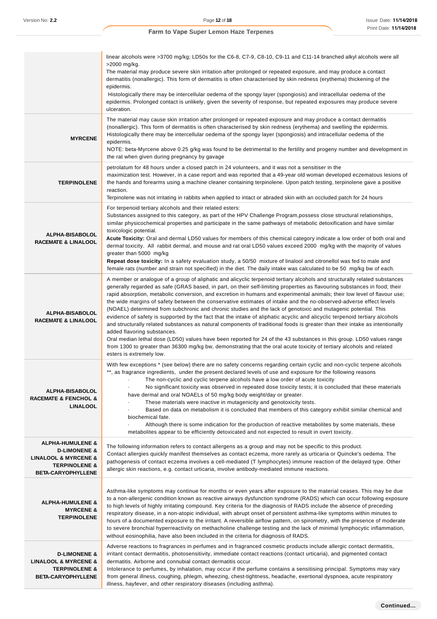|                                                                                                                                                        | linear alcohols were >3700 mg/kg; LD50s for the C6-8, C7-9, C8-10, C9-11 and C11-14 branched alkyl alcohols were all<br>>2000 mg/kg.<br>The material may produce severe skin irritation after prolonged or repeated exposure, and may produce a contact<br>dermatitis (nonallergic). This form of dermatitis is often characterised by skin redness (erythema) thickening of the<br>epidermis.<br>Histologically there may be intercellular oedema of the spongy layer (spongiosis) and intracellular oedema of the<br>epidermis. Prolonged contact is unlikely, given the severity of response, but repeated exposures may produce severe<br>ulceration.                                                                                                                                                                                                                                                                                                                                                                                                                                                                                                                                               |
|--------------------------------------------------------------------------------------------------------------------------------------------------------|---------------------------------------------------------------------------------------------------------------------------------------------------------------------------------------------------------------------------------------------------------------------------------------------------------------------------------------------------------------------------------------------------------------------------------------------------------------------------------------------------------------------------------------------------------------------------------------------------------------------------------------------------------------------------------------------------------------------------------------------------------------------------------------------------------------------------------------------------------------------------------------------------------------------------------------------------------------------------------------------------------------------------------------------------------------------------------------------------------------------------------------------------------------------------------------------------------|
| <b>MYRCENE</b>                                                                                                                                         | The material may cause skin irritation after prolonged or repeated exposure and may produce a contact dermatitis<br>(nonallergic). This form of dermatitis is often characterised by skin redness (erythema) and swelling the epidermis.<br>Histologically there may be intercellular oedema of the spongy layer (spongiosis) and intracellular oedema of the<br>epidermis.<br>NOTE: beta-Myrcene above 0.25 g/kg was found to be detrimental to the fertility and progeny number and development in<br>the rat when given during pregnancy by gavage                                                                                                                                                                                                                                                                                                                                                                                                                                                                                                                                                                                                                                                   |
| <b>TERPINOLENE</b>                                                                                                                                     | petrolatum for 48 hours under a closed patch in 24 volunteers, and it was not a sensitiser in the<br>maximization test. However, in a case report and was reported that a 49-year old woman developed eczematous lesions of<br>the hands and forearms using a machine cleaner containing terpinolene. Upon patch testing, terpinolene gave a positive<br>reaction.<br>Terpinolene was not irritating in rabbits when applied to intact or abraded skin with an occluded patch for 24 hours                                                                                                                                                                                                                                                                                                                                                                                                                                                                                                                                                                                                                                                                                                              |
| <b>ALPHA-BISABOLOL</b><br><b>RACEMATE &amp; LINALOOL</b>                                                                                               | For terpenoid tertiary alcohols and their related esters:<br>Substances assigned to this category, as part of the HPV Challenge Program, possess close structural relationships,<br>similar physicochemical properties and participate in the same pathways of metabolic detoxification and have similar<br>toxicologic potential.<br>Acute Toxicity: Oral and dermal LD50 values for members of this chemical category indicate a low order of both oral and<br>dermal toxicity. All rabbit dermal, and mouse and rat oral LD50 values exceed 2000 mg/kg with the majority of values<br>greater than 5000 mg/kg<br>Repeat dose toxicity: In a safety evaluation study, a 50/50 mixture of linalool and citronellol was fed to male and<br>female rats (number and strain not specified) in the diet. The daily intake was calculated to be 50 mg/kg bw of each.                                                                                                                                                                                                                                                                                                                                        |
| <b>ALPHA-BISABOLOL</b><br><b>RACEMATE &amp; LINALOOL</b>                                                                                               | A member or analogue of a group of aliphatic and alicyclic terpenoid tertiary alcohols and structurally related substances<br>generally regarded as safe (GRAS based, in part, on their self-limiting properties as flavouring substances in food; their<br>rapid absorption, metabolic conversion, and excretion in humans and experimental animals; their low level of flavour use;<br>the wide margins of safety between the conservative estimates of intake and the no-observed-adverse effect levels<br>(NOAEL) determined from subchronic and chronic studies and the lack of genotoxic and mutagenic potential. This<br>evidence of safety is supported by the fact that the intake of aliphatic acyclic and alicyclic terpenoid tertiary alcohols<br>and structurally related substances as natural components of traditional foods is greater than their intake as intentionally<br>added flavoring substances.<br>Oral median lethal dose (LD50) values have been reported for 24 of the 43 substances in this group. LD50 values range<br>from 1300 to greater than 36300 mg/kg bw, demonstrating that the oral acute toxicity of tertiary alcohols and related<br>esters is extremely low. |
| ALPHA-BISABOLOL<br><b>RACEMATE &amp; FENCHOL &amp;</b><br><b>LINALOOL</b>                                                                              | With few exceptions * (see below) there are no safety concerns regarding certain cyclic and non-cyclic terpene alcohols<br>**, as fragrance ingredients, under the present declared levels of use and exposure for the following reasons<br>The non-cyclic and cyclic terpene alcohols have a low order of acute toxicity<br>No significant toxicity was observed in repeated dose toxicity tests; it is concluded that these materials<br>$\blacksquare$<br>have dermal and oral NOAELs of 50 mg/kg body weight/day or greater.<br>These materials were inactive in mutagenicity and genotoxicity tests.<br>Based on data on metabolism it is concluded that members of this category exhibit similar chemical and<br>biochemical fate.<br>Although there is some indication for the production of reactive metabolites by some materials, these<br>metabolites appear to be efficiently detoxicated and not expected to result in overt toxicity.                                                                                                                                                                                                                                                     |
| <b>ALPHA-HUMULENE &amp;</b><br><b>D-LIMONENE &amp;</b><br><b>LINALOOL &amp; MYRCENE &amp;</b><br><b>TERPINOLENE &amp;</b><br><b>BETA-CARYOPHYLLENE</b> | The following information refers to contact allergens as a group and may not be specific to this product.<br>Contact allergies quickly manifest themselves as contact eczema, more rarely as urticaria or Quincke's oedema. The<br>pathogenesis of contact eczema involves a cell-mediated (T lymphocytes) immune reaction of the delayed type. Other<br>allergic skin reactions, e.g. contact urticaria, involve antibody-mediated immune reactions.                                                                                                                                                                                                                                                                                                                                                                                                                                                                                                                                                                                                                                                                                                                                                   |
| <b>ALPHA-HUMULENE &amp;</b><br><b>MYRCENE &amp;</b><br><b>TERPINOLENE</b>                                                                              | Asthma-like symptoms may continue for months or even years after exposure to the material ceases. This may be due<br>to a non-allergenic condition known as reactive airways dysfunction syndrome (RADS) which can occur following exposure<br>to high levels of highly irritating compound. Key criteria for the diagnosis of RADS include the absence of preceding<br>respiratory disease, in a non-atopic individual, with abrupt onset of persistent asthma-like symptoms within minutes to<br>hours of a documented exposure to the irritant. A reversible airflow pattern, on spirometry, with the presence of moderate<br>to severe bronchial hyperreactivity on methacholine challenge testing and the lack of minimal lymphocytic inflammation,<br>without eosinophilia, have also been included in the criteria for diagnosis of RADS.                                                                                                                                                                                                                                                                                                                                                        |
| <b>D-LIMONENE &amp;</b><br><b>LINALOOL &amp; MYRCENE &amp;</b><br><b>TERPINOLENE &amp;</b><br><b>BETA-CARYOPHYLLENE</b>                                | Adverse reactions to fragrances in perfumes and in fragranced cosmetic products include allergic contact dermatitis,<br>irritant contact dermatitis, photosensitivity, immediate contact reactions (contact urticaria), and pigmented contact<br>dermatitis. Airborne and connubial contact dermatitis occur.<br>Intolerance to perfumes, by inhalation, may occur if the perfume contains a sensitising principal. Symptoms may vary<br>from general illness, coughing, phlegm, wheezing, chest-tightness, headache, exertional dyspnoea, acute respiratory<br>illness, hayfever, and other respiratory diseases (including asthma).                                                                                                                                                                                                                                                                                                                                                                                                                                                                                                                                                                   |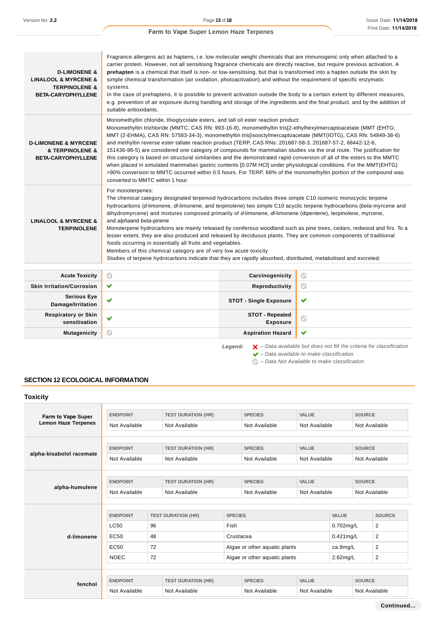| <b>D-LIMONENE &amp;</b><br><b>LINALOOL &amp; MYRCENE &amp;</b><br><b>TERPINOLENE &amp;</b><br><b>BETA-CARYOPHYLLENE</b> | Fragrance allergens act as haptens, i.e. low molecular weight chemicals that are immunogenic only when attached to a<br>carrier protein. However, not all sensitising fragrance chemicals are directly reactive, but require previous activation. A<br>prehapten is a chemical that itself is non- or low-sensitising, but that is transformed into a hapten outside the skin by<br>simple chemical transformation (air oxidation, photoactivation) and without the requirement of specific enzymatic<br>systems.<br>In the case of prehaptens, it is possible to prevent activation outside the body to a certain extent by different measures,<br>e.g. prevention of air exposure during handling and storage of the ingredients and the final product, and by the addition of<br>suitable antioxidants.                                                                                                                                                             |
|-------------------------------------------------------------------------------------------------------------------------|------------------------------------------------------------------------------------------------------------------------------------------------------------------------------------------------------------------------------------------------------------------------------------------------------------------------------------------------------------------------------------------------------------------------------------------------------------------------------------------------------------------------------------------------------------------------------------------------------------------------------------------------------------------------------------------------------------------------------------------------------------------------------------------------------------------------------------------------------------------------------------------------------------------------------------------------------------------------|
| <b>D-LIMONENE &amp; MYRCENE</b><br>& TERPINOLENE &<br><b>BETA-CARYOPHYLLENE</b>                                         | Monomethyltin chloride, thioglycolate esters, and tall oil ester reaction product:<br>Monomethyltin trichloride (MMTC, CAS RN: 993-16-8), monomethyltin tris[2-ethylhexylmercaptoacetate (MMT (EHTG;<br>MMT (2-EHMA), CAS RN: 57583-34-3), monomethyltin tris[isooctylmercaptoacetate (MMT(IOTG), CAS RN: 54849-38-6)<br>and methyltin reverse ester tallate reaction product (TERP, CAS RNs: 201687-58-3, 201687-57-2, 68442-12-6,<br>151436-98-5) are considered one category of compounds for mammalian studies via the oral route. The justification for<br>this category is based on structural similarities and the demonstrated rapid conversion of all of the esters to the MMTC<br>when placed in simulated mammalian gastric contents [0.07M HCI] under physiological conditions. For the MMT(EHTG)<br>>90% conversion to MMTC occurred within 0.5 hours. For TERP, 68% of the monomethyltin portion of the compound was<br>converted to MMTC within 1 hour. |
| <b>LINALOOL &amp; MYRCENE &amp;</b><br><b>TERPINOLENE</b>                                                               | For monoterpenes:<br>The chemical category designated terpenoid hydrocarbons includes three simple C10 isomeric monocyclic terpene<br>hydrocarbons (d-limonene, dl-limonene, and terpinolene) two simple C10 acyclic terpene hydrocarbons (beta-myrcene and<br>dihydromyrcene) and mixtures composed primarily of d-limonene, dl-limonene (dipentene), terpinolene, myrcene,<br>and alphaand beta-pinene<br>Monoterpene hydrocarbons are mainly released by coniferous woodland such as pine trees, cedars, redwood and firs. To a<br>lesser extent, they are also produced and released by deciduous plants. They are common components of traditional<br>foods occurring in essentially all fruits and vegetables.<br>Members of this chemical category are of very low acute toxicity<br>Studies of terpene hydrocarbons indicate that they are rapidly absorbed, distributed, metabolised and excreted.                                                            |

| <b>Acute Toxicity</b>                       | $\circ$      | Carcinogenicity                    | ∾                   |
|---------------------------------------------|--------------|------------------------------------|---------------------|
| <b>Skin Irritation/Corrosion</b>            | $\checkmark$ | Reproductivity                     | $\circlearrowright$ |
| <b>Serious Eye</b><br>Damage/Irritation     | $\checkmark$ | <b>STOT - Single Exposure</b>      | $\checkmark$        |
| <b>Respiratory or Skin</b><br>sensitisation | $\checkmark$ | <b>STOT - Repeated</b><br>Exposure | $\circ$             |
| <b>Mutagenicity</b>                         | $\circ$      | <b>Aspiration Hazard</b>           | $\checkmark$        |

Legend:  $\mathsf{X}$  – Data available but does not fill the criteria for classification  $\blacktriangleright$  – Data available to make classification

 $\bigcirc$  – Data Not Available to make classification

## **SECTION 12 ECOLOGICAL INFORMATION**

| <b>Toxicity</b>            |                                  |                                            |                                             |                               |                                 |                               |               |                                |               |
|----------------------------|----------------------------------|--------------------------------------------|---------------------------------------------|-------------------------------|---------------------------------|-------------------------------|---------------|--------------------------------|---------------|
| Farm to Vape Super         | <b>ENDPOINT</b>                  | <b>TEST DURATION (HR)</b>                  |                                             |                               | VALUE<br><b>SPECIES</b>         |                               | <b>SOURCE</b> |                                |               |
| <b>Lemon Haze Terpenes</b> | Not Available                    |                                            | Not Available                               |                               | Not Available                   | Not Available                 | Not Available |                                |               |
|                            | <b>ENDPOINT</b>                  |                                            | <b>TEST DURATION (HR)</b>                   |                               | <b>SPECIES</b>                  | VALUE                         |               | <b>SOURCE</b>                  |               |
| alpha-bisabolol racemate   | Not Available                    |                                            | Not Available                               |                               | Not Available                   | Not Available                 |               | Not Available                  |               |
|                            |                                  |                                            |                                             |                               |                                 |                               |               |                                |               |
| alpha-humulene             | <b>ENDPOINT</b><br>Not Available | <b>TEST DURATION (HR)</b><br>Not Available |                                             |                               | <b>SPECIES</b><br>Not Available | <b>VALUE</b><br>Not Available |               | <b>SOURCE</b><br>Not Available |               |
|                            |                                  |                                            |                                             |                               |                                 |                               |               |                                |               |
|                            | <b>ENDPOINT</b>                  |                                            | <b>TEST DURATION (HR)</b><br><b>SPECIES</b> |                               |                                 | <b>VALUE</b>                  |               | <b>SOURCE</b>                  |               |
|                            | <b>LC50</b>                      | 96                                         |                                             | Fish                          |                                 | 0.702mg/L                     |               | $\overline{2}$                 |               |
| d-limonene                 | EC50                             | 48                                         |                                             | Crustacea                     |                                 |                               | $0.421$ mg/L  |                                | 2             |
|                            | EC50                             | 72                                         |                                             | Algae or other aquatic plants |                                 | ca.8mg/L                      |               | 2                              |               |
|                            | <b>NOEC</b>                      | 72                                         |                                             |                               | Algae or other aquatic plants   |                               | 2.62mg/L      |                                | 2             |
|                            |                                  |                                            |                                             |                               |                                 |                               |               |                                |               |
| fenchol                    | <b>ENDPOINT</b>                  |                                            | <b>TEST DURATION (HR)</b>                   | <b>SPECIES</b>                |                                 | <b>VALUE</b>                  |               | <b>SOURCE</b>                  |               |
|                            | Not Available                    |                                            | Not Available                               |                               | Not Available                   |                               | Not Available |                                | Not Available |

**Continued...**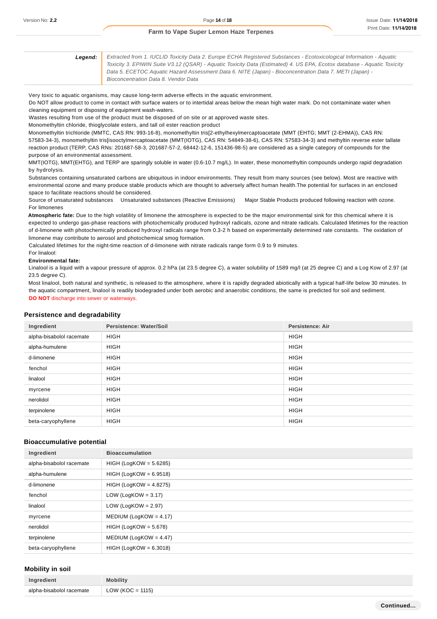| Leaend: | Extracted from 1. IUCLID Toxicity Data 2. Europe ECHA Registered Substances - Ecotoxicological Information - Aquatic    |
|---------|-------------------------------------------------------------------------------------------------------------------------|
|         | Toxicity 3. EPIWIN Suite V3.12 (QSAR) - Aquatic Toxicity Data (Estimated) 4. US EPA, Ecotox database - Aquatic Toxicity |
|         | Data 5. ECETOC Aguatic Hazard Assessment Data 6. NITE (Japan) - Bioconcentration Data 7. METI (Japan) -                 |
|         | Bioconcentration Data 8. Vendor Data                                                                                    |

#### Very toxic to aquatic organisms, may cause long-term adverse effects in the aquatic environment.

Do NOT allow product to come in contact with surface waters or to intertidal areas below the mean high water mark. Do not contaminate water when cleaning equipment or disposing of equipment wash-waters.

Wastes resulting from use of the product must be disposed of on site or at approved waste sites.

Monomethyltin chloride, thioglycolate esters, and tall oil ester reaction product

Monomethyltin trichloride (MMTC, CAS RN: 993-16-8), monomethyltin tris[2-ethylhexylmercaptoacetate (MMT (EHTG; MMT (2-EHMA)), CAS RN: 57583-34-3), monomethyltin tris[isooctylmercaptoacetate (MMT(IOTG), CAS RN: 54849-38-6), CAS RN: 57583-34-3) and methyltin reverse ester tallate reaction product (TERP, CAS RNs: 201687-58-3, 201687-57-2, 68442-12-6, 151436-98-5) are considered as a single category of compounds for the purpose of an environmental assessment.

MMT(IOTG), MMT(EHTG), and TERP are sparingly soluble in water (0.6-10.7 mg/L). In water, these monomethyltin compounds undergo rapid degradation by hydrolysis.

Substances containing unsaturated carbons are ubiquitous in indoor environments. They result from many sources (see below). Most are reactive with environmental ozone and many produce stable products which are thought to adversely affect human health.The potential for surfaces in an enclosed space to facilitate reactions should be considered.

Source of unsaturated substances Unsaturated substances (Reactive Emissions) Major Stable Products produced following reaction with ozone. For limonenes

**Atmospheric fate:** Due to the high volatility of limonene the atmosphere is expected to be the major environmental sink for this chemical where it is expected to undergo gas-phase reactions with photochemically produced hydroxyl radicals, ozone and nitrate radicals. Calculated lifetimes for the reaction of d-limonene with photochemically produced hydroxyl radicals range from 0.3-2 h based on experimentally determined rate constants. The oxidation of limonene may contribute to aerosol and photochemical smog formation.

Calculated lifetimes for the night-time reaction of d-limonene with nitrate radicals range form 0.9 to 9 minutes.

#### For linalool:

#### **Environmental fate:**

Linalool is a liquid with a vapour pressure of approx. 0.2 hPa (at 23.5 degree C), a water solubility of 1589 mg/l (at 25 degree C) and a Log Kow of 2.97 (at 23.5 degree C).

Most linalool, both natural and synthetic, is released to the atmosphere, where it is rapidly degraded abiotically with a typical half-life below 30 minutes. In the aquatic compartment, linalool is readily biodegraded under both aerobic and anaerobic conditions, the same is predicted for soil and sediment. **DO NOT** discharge into sewer or waterways.

#### **Persistence and degradability**

| Ingredient               | Persistence: Water/Soil | <b>Persistence: Air</b> |
|--------------------------|-------------------------|-------------------------|
| alpha-bisabolol racemate | <b>HIGH</b>             | <b>HIGH</b>             |
| alpha-humulene           | <b>HIGH</b>             | <b>HIGH</b>             |
| d-limonene               | <b>HIGH</b>             | <b>HIGH</b>             |
| fenchol                  | <b>HIGH</b>             | <b>HIGH</b>             |
| linalool                 | <b>HIGH</b>             | <b>HIGH</b>             |
| myrcene                  | <b>HIGH</b>             | <b>HIGH</b>             |
| nerolidol                | <b>HIGH</b>             | <b>HIGH</b>             |
| terpinolene              | <b>HIGH</b>             | <b>HIGH</b>             |
| beta-caryophyllene       | <b>HIGH</b>             | <b>HIGH</b>             |

#### **Bioaccumulative potential**

| Ingredient               | <b>Bioaccumulation</b>    |
|--------------------------|---------------------------|
| alpha-bisabolol racemate | $HIGH (LogKOW = 5.6285)$  |
| alpha-humulene           | $HIGH (LogKOW = 6.9518)$  |
| d-limonene               | $HIGH (LogKOW = 4.8275)$  |
| fenchol                  | LOW (LogKOW = $3.17$ )    |
| linalool                 | LOW (LogKOW = $2.97$ )    |
| myrcene                  | MEDIUM (LogKOW = $4.17$ ) |
| nerolidol                | $HIGH (LogKOW = 5.678)$   |
| terpinolene              | MEDIUM (LogKOW = $4.47$ ) |
| beta-caryophyllene       | $HIGH (LogKOW = 6.3018)$  |

#### **Mobility in soil**

| Ingredient               | Mobility             |
|--------------------------|----------------------|
| alpha-bisabolol racemate | LOW ( $KOC = 1115$ ) |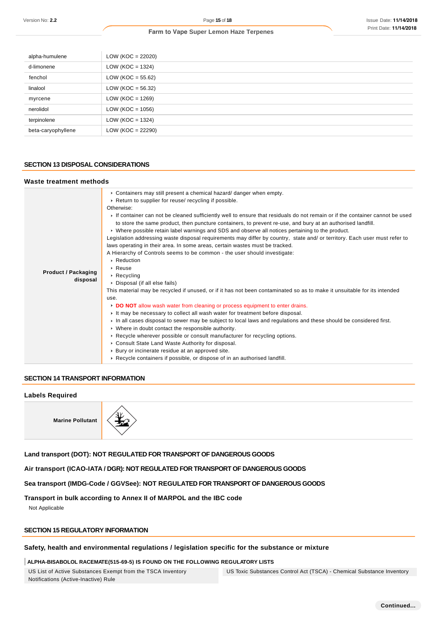| alpha-humulene     | $LOW (KOC = 22020)$  |
|--------------------|----------------------|
| d-limonene         | LOW ( $KOC = 1324$ ) |
| fenchol            | $LOW (KOC = 55.62)$  |
| linalool           | $LOW (KOC = 56.32)$  |
| myrcene            | LOW ( $KOC = 1269$ ) |
| nerolidol          | LOW ( $KOC = 1056$ ) |
| terpinolene        | LOW ( $KOC = 1324$ ) |
| beta-caryophyllene | $LOW (KOC = 22290)$  |

### **SECTION 13 DISPOSAL CONSIDERATIONS**

### **Waste treatment methods**

| Version No: 2.2                           | Page 15 of 18                                                                                                                                                                                                                                                                                                                                                                                                                                                                                                                                                                                                                                                                                                                                                                                                                                                                                                                                                                                                                                                                                                                                                                                                                                                                                                                                                                                                                                                                                                                                                                                                                              | <b>Issue Date: 11/14/201</b> |
|-------------------------------------------|--------------------------------------------------------------------------------------------------------------------------------------------------------------------------------------------------------------------------------------------------------------------------------------------------------------------------------------------------------------------------------------------------------------------------------------------------------------------------------------------------------------------------------------------------------------------------------------------------------------------------------------------------------------------------------------------------------------------------------------------------------------------------------------------------------------------------------------------------------------------------------------------------------------------------------------------------------------------------------------------------------------------------------------------------------------------------------------------------------------------------------------------------------------------------------------------------------------------------------------------------------------------------------------------------------------------------------------------------------------------------------------------------------------------------------------------------------------------------------------------------------------------------------------------------------------------------------------------------------------------------------------------|------------------------------|
|                                           | Farm to Vape Super Lemon Haze Terpenes                                                                                                                                                                                                                                                                                                                                                                                                                                                                                                                                                                                                                                                                                                                                                                                                                                                                                                                                                                                                                                                                                                                                                                                                                                                                                                                                                                                                                                                                                                                                                                                                     | Print Date: 11/14/201        |
|                                           |                                                                                                                                                                                                                                                                                                                                                                                                                                                                                                                                                                                                                                                                                                                                                                                                                                                                                                                                                                                                                                                                                                                                                                                                                                                                                                                                                                                                                                                                                                                                                                                                                                            |                              |
| alpha-humulene                            | LOW ( $KOC = 22020$ )                                                                                                                                                                                                                                                                                                                                                                                                                                                                                                                                                                                                                                                                                                                                                                                                                                                                                                                                                                                                                                                                                                                                                                                                                                                                                                                                                                                                                                                                                                                                                                                                                      |                              |
| d-limonene                                | LOW ( $KOC = 1324$ )                                                                                                                                                                                                                                                                                                                                                                                                                                                                                                                                                                                                                                                                                                                                                                                                                                                                                                                                                                                                                                                                                                                                                                                                                                                                                                                                                                                                                                                                                                                                                                                                                       |                              |
| fenchol                                   | LOW (KOC = $55.62$ )                                                                                                                                                                                                                                                                                                                                                                                                                                                                                                                                                                                                                                                                                                                                                                                                                                                                                                                                                                                                                                                                                                                                                                                                                                                                                                                                                                                                                                                                                                                                                                                                                       |                              |
| linalool                                  | LOW (KOC = $56.32$ )                                                                                                                                                                                                                                                                                                                                                                                                                                                                                                                                                                                                                                                                                                                                                                                                                                                                                                                                                                                                                                                                                                                                                                                                                                                                                                                                                                                                                                                                                                                                                                                                                       |                              |
| myrcene                                   | LOW ( $KOC = 1269$ )                                                                                                                                                                                                                                                                                                                                                                                                                                                                                                                                                                                                                                                                                                                                                                                                                                                                                                                                                                                                                                                                                                                                                                                                                                                                                                                                                                                                                                                                                                                                                                                                                       |                              |
| nerolidol                                 | LOW ( $KOC = 1056$ )                                                                                                                                                                                                                                                                                                                                                                                                                                                                                                                                                                                                                                                                                                                                                                                                                                                                                                                                                                                                                                                                                                                                                                                                                                                                                                                                                                                                                                                                                                                                                                                                                       |                              |
| terpinolene                               | LOW ( $KOC = 1324$ )                                                                                                                                                                                                                                                                                                                                                                                                                                                                                                                                                                                                                                                                                                                                                                                                                                                                                                                                                                                                                                                                                                                                                                                                                                                                                                                                                                                                                                                                                                                                                                                                                       |                              |
| beta-caryophyllene                        | LOW (KOC = 22290)                                                                                                                                                                                                                                                                                                                                                                                                                                                                                                                                                                                                                                                                                                                                                                                                                                                                                                                                                                                                                                                                                                                                                                                                                                                                                                                                                                                                                                                                                                                                                                                                                          |                              |
| <b>SECTION 13 DISPOSAL CONSIDERATIONS</b> |                                                                                                                                                                                                                                                                                                                                                                                                                                                                                                                                                                                                                                                                                                                                                                                                                                                                                                                                                                                                                                                                                                                                                                                                                                                                                                                                                                                                                                                                                                                                                                                                                                            |                              |
| Waste treatment methods                   |                                                                                                                                                                                                                                                                                                                                                                                                                                                                                                                                                                                                                                                                                                                                                                                                                                                                                                                                                                                                                                                                                                                                                                                                                                                                                                                                                                                                                                                                                                                                                                                                                                            |                              |
| <b>Product / Packaging</b><br>disposal    | • Containers may still present a chemical hazard/ danger when empty.<br>▶ Return to supplier for reuse/ recycling if possible.<br>Otherwise:<br>If container can not be cleaned sufficiently well to ensure that residuals do not remain or if the container cannot be used<br>to store the same product, then puncture containers, to prevent re-use, and bury at an authorised landfill.<br>► Where possible retain label warnings and SDS and observe all notices pertaining to the product.<br>Legislation addressing waste disposal requirements may differ by country, state and/ or territory. Each user must refer to<br>laws operating in their area. In some areas, certain wastes must be tracked.<br>A Hierarchy of Controls seems to be common - the user should investigate:<br>▶ Reduction<br>$\triangleright$ Reuse<br>▶ Recycling<br>▶ Disposal (if all else fails)<br>This material may be recycled if unused, or if it has not been contaminated so as to make it unsuitable for its intended<br>use.<br>► DO NOT allow wash water from cleaning or process equipment to enter drains.<br>It may be necessary to collect all wash water for treatment before disposal.<br>In all cases disposal to sewer may be subject to local laws and regulations and these should be considered first.<br>• Where in doubt contact the responsible authority.<br>► Recycle wherever possible or consult manufacturer for recycling options.<br>Consult State Land Waste Authority for disposal.<br>▶ Bury or incinerate residue at an approved site.<br>► Recycle containers if possible, or dispose of in an authorised landfill. |                              |
| <b>SECTION 14 TRANSPORT INFORMATION</b>   |                                                                                                                                                                                                                                                                                                                                                                                                                                                                                                                                                                                                                                                                                                                                                                                                                                                                                                                                                                                                                                                                                                                                                                                                                                                                                                                                                                                                                                                                                                                                                                                                                                            |                              |
| <b>Labels Required</b>                    |                                                                                                                                                                                                                                                                                                                                                                                                                                                                                                                                                                                                                                                                                                                                                                                                                                                                                                                                                                                                                                                                                                                                                                                                                                                                                                                                                                                                                                                                                                                                                                                                                                            |                              |
| <b>Marine Pollutant</b>                   |                                                                                                                                                                                                                                                                                                                                                                                                                                                                                                                                                                                                                                                                                                                                                                                                                                                                                                                                                                                                                                                                                                                                                                                                                                                                                                                                                                                                                                                                                                                                                                                                                                            |                              |
|                                           | Land transport (DOT): NOT REGULATED FOR TRANSPORT OF DANGEROUS GOODS                                                                                                                                                                                                                                                                                                                                                                                                                                                                                                                                                                                                                                                                                                                                                                                                                                                                                                                                                                                                                                                                                                                                                                                                                                                                                                                                                                                                                                                                                                                                                                       |                              |
|                                           | Air transport (ICAO-IATA / DGR): NOT REGULATED FOR TRANSPORT OF DANGEROUS GOODS                                                                                                                                                                                                                                                                                                                                                                                                                                                                                                                                                                                                                                                                                                                                                                                                                                                                                                                                                                                                                                                                                                                                                                                                                                                                                                                                                                                                                                                                                                                                                            |                              |
|                                           | Sea transport (IMDG-Code / GGVSee): NOT REGULATED FOR TRANSPORT OF DANGEROUS GOODS                                                                                                                                                                                                                                                                                                                                                                                                                                                                                                                                                                                                                                                                                                                                                                                                                                                                                                                                                                                                                                                                                                                                                                                                                                                                                                                                                                                                                                                                                                                                                         |                              |
| Not Applicable                            | Transport in bulk according to Annex II of MARPOL and the IBC code                                                                                                                                                                                                                                                                                                                                                                                                                                                                                                                                                                                                                                                                                                                                                                                                                                                                                                                                                                                                                                                                                                                                                                                                                                                                                                                                                                                                                                                                                                                                                                         |                              |
| <b>SECTION 15 REGULATORY INFORMATION</b>  |                                                                                                                                                                                                                                                                                                                                                                                                                                                                                                                                                                                                                                                                                                                                                                                                                                                                                                                                                                                                                                                                                                                                                                                                                                                                                                                                                                                                                                                                                                                                                                                                                                            |                              |
|                                           | Safety, health and environmental regulations / legislation specific for the substance or mixture                                                                                                                                                                                                                                                                                                                                                                                                                                                                                                                                                                                                                                                                                                                                                                                                                                                                                                                                                                                                                                                                                                                                                                                                                                                                                                                                                                                                                                                                                                                                           |                              |
|                                           | ALPHA-BISABOLOL RACEMATE(515-69-5) IS FOUND ON THE FOLLOWING REGULATORY LISTS                                                                                                                                                                                                                                                                                                                                                                                                                                                                                                                                                                                                                                                                                                                                                                                                                                                                                                                                                                                                                                                                                                                                                                                                                                                                                                                                                                                                                                                                                                                                                              |                              |
|                                           | US List of Active Substances Exempt from the TSCA Inventory<br>US Toxic Substances Control Act (TSCA) - Chemical Substance Inventory                                                                                                                                                                                                                                                                                                                                                                                                                                                                                                                                                                                                                                                                                                                                                                                                                                                                                                                                                                                                                                                                                                                                                                                                                                                                                                                                                                                                                                                                                                       |                              |

### **SECTION 14 TRANSPORT INFORMATION**

#### **Labels Required**



## **Transport in bulk according to Annex II of MARPOL and the IBC code**

## **SECTION 15 REGULATORY INFORMATION**

## **Safety, health and environmental regulations / legislation specific for the substance or mixture**

#### **ALPHA-BISABOLOL RACEMATE(515-69-5) IS FOUND ON THE FOLLOWING REGULATORY LISTS**

US List of Active Substances Exempt from the TSCA Inventory Notifications (Active-Inactive) Rule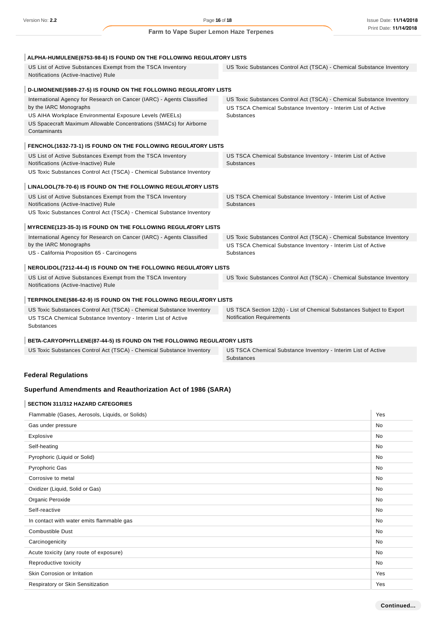| ALPHA-HUMULENE(6753-98-6) IS FOUND ON THE FOLLOWING REGULATORY LISTS                                |                                                                                    |
|-----------------------------------------------------------------------------------------------------|------------------------------------------------------------------------------------|
| US List of Active Substances Exempt from the TSCA Inventory<br>Notifications (Active-Inactive) Rule | US Toxic Substances Control Act (TSCA) - Chemical Substance Inventory              |
|                                                                                                     |                                                                                    |
| D-LIMONENE(5989-27-5) IS FOUND ON THE FOLLOWING REGULATORY LISTS                                    |                                                                                    |
| International Agency for Research on Cancer (IARC) - Agents Classified                              | US Toxic Substances Control Act (TSCA) - Chemical Substance Inventory              |
| by the IARC Monographs                                                                              | US TSCA Chemical Substance Inventory - Interim List of Active                      |
| US AIHA Workplace Environmental Exposure Levels (WEELs)                                             | Substances                                                                         |
| US Spacecraft Maximum Allowable Concentrations (SMACs) for Airborne<br>Contaminants                 |                                                                                    |
| FENCHOL(1632-73-1) IS FOUND ON THE FOLLOWING REGULATORY LISTS                                       |                                                                                    |
| US List of Active Substances Exempt from the TSCA Inventory<br>Notifications (Active-Inactive) Rule | US TSCA Chemical Substance Inventory - Interim List of Active<br><b>Substances</b> |
| US Toxic Substances Control Act (TSCA) - Chemical Substance Inventory                               |                                                                                    |
| LINALOOL(78-70-6) IS FOUND ON THE FOLLOWING REGULATORY LISTS                                        |                                                                                    |
| US List of Active Substances Exempt from the TSCA Inventory<br>Notifications (Active-Inactive) Rule | US TSCA Chemical Substance Inventory - Interim List of Active<br><b>Substances</b> |
| US Toxic Substances Control Act (TSCA) - Chemical Substance Inventory                               |                                                                                    |
| <b>MYRCENE(123-35-3) IS FOUND ON THE FOLLOWING REGULATORY LISTS</b>                                 |                                                                                    |
| International Agency for Research on Cancer (IARC) - Agents Classified                              | US Toxic Substances Control Act (TSCA) - Chemical Substance Inventory              |
| by the IARC Monographs                                                                              | US TSCA Chemical Substance Inventory - Interim List of Active                      |
| US - California Proposition 65 - Carcinogens                                                        | <b>Substances</b>                                                                  |
| NEROLIDOL(7212-44-4) IS FOUND ON THE FOLLOWING REGULATORY LISTS                                     |                                                                                    |
| US List of Active Substances Exempt from the TSCA Inventory                                         | US Toxic Substances Control Act (TSCA) - Chemical Substance Inventory              |
| Notifications (Active-Inactive) Rule                                                                |                                                                                    |
| TERPINOLENE(586-62-9) IS FOUND ON THE FOLLOWING REGULATORY LISTS                                    |                                                                                    |
| US Toxic Substances Control Act (TSCA) - Chemical Substance Inventory                               | US TSCA Section 12(b) - List of Chemical Substances Subject to Export              |
| US TSCA Chemical Substance Inventory - Interim List of Active<br>Substances                         | <b>Notification Requirements</b>                                                   |
| BETA-CARYOPHYLLENE(87-44-5) IS FOUND ON THE FOLLOWING REGULATORY LISTS                              |                                                                                    |
| US Toxic Substances Control Act (TSCA) - Chemical Substance Inventory                               | US TSCA Chemical Substance Inventory - Interim List of Active<br><b>Substances</b> |
|                                                                                                     |                                                                                    |
| <b>Federal Regulations</b>                                                                          |                                                                                    |
|                                                                                                     |                                                                                    |

## **Superfund Amendments and Reauthorization Act of 1986 (SARA)**

## **SECTION 311/312 HAZARD CATEGORIES**

| Flammable (Gases, Aerosols, Liquids, or Solids) |     |
|-------------------------------------------------|-----|
| Gas under pressure                              | No  |
| Explosive                                       | No  |
| Self-heating                                    | No  |
| Pyrophoric (Liquid or Solid)                    | No  |
| Pyrophoric Gas                                  | No  |
| Corrosive to metal                              | No  |
| Oxidizer (Liquid, Solid or Gas)                 | No  |
| Organic Peroxide                                | No  |
| Self-reactive                                   | No  |
| In contact with water emits flammable gas       | No  |
| <b>Combustible Dust</b>                         | No  |
| Carcinogenicity                                 | No  |
| Acute toxicity (any route of exposure)          | No  |
| Reproductive toxicity                           | No  |
| Skin Corrosion or Irritation                    | Yes |
| Respiratory or Skin Sensitization               | Yes |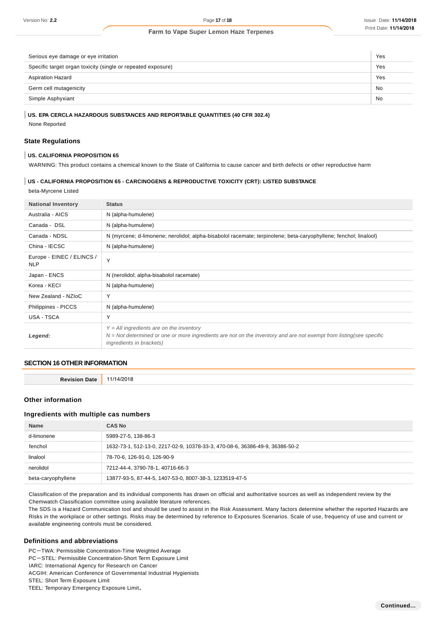| Serious eye damage or eye irritation                         | Yes |
|--------------------------------------------------------------|-----|
| Specific target organ toxicity (single or repeated exposure) | Yes |
| <b>Aspiration Hazard</b>                                     | Yes |
| Germ cell mutagenicity                                       | No  |
| Simple Asphyxiant                                            |     |
|                                                              |     |

#### **US. EPA CERCLA HAZARDOUS SUBSTANCES AND REPORTABLE QUANTITIES (40 CFR 302.4)**

None Reported

### **State Regulations**

#### **US. CALIFORNIA PROPOSITION 65**

WARNING: This product contains a chemical known to the State of California to cause cancer and birth defects or other reproductive harm

#### **US - CALIFORNIA PROPOSITION 65 - CARCINOGENS & REPRODUCTIVE TOXICITY (CRT): LISTED SUBSTANCE**

beta-Myrcene Listed

| <b>National Inventory</b>               | <b>Status</b>                                                                                                                                                                                          |
|-----------------------------------------|--------------------------------------------------------------------------------------------------------------------------------------------------------------------------------------------------------|
| Australia - AICS                        | N (alpha-humulene)                                                                                                                                                                                     |
| Canada - DSL                            | N (alpha-humulene)                                                                                                                                                                                     |
| Canada - NDSL                           | N (myrcene; d-limonene; nerolidol; alpha-bisabolol racemate; terpinolene; beta-caryophyllene; fenchol; linalool)                                                                                       |
| China - IECSC                           | N (alpha-humulene)                                                                                                                                                                                     |
| Europe - EINEC / ELINCS /<br><b>NLP</b> | Y                                                                                                                                                                                                      |
| Japan - ENCS                            | N (nerolidol; alpha-bisabolol racemate)                                                                                                                                                                |
| Korea - KECI                            | N (alpha-humulene)                                                                                                                                                                                     |
| New Zealand - NZIoC                     | Υ                                                                                                                                                                                                      |
| Philippines - PICCS                     | N (alpha-humulene)                                                                                                                                                                                     |
| USA - TSCA                              | Y                                                                                                                                                                                                      |
| Legend:                                 | $Y = All$ ingredients are on the inventory<br>$N = Not$ determined or one or more ingredients are not on the inventory and are not exempt from listing(see specific<br><i>ingredients in brackets)</i> |

#### **SECTION 16 OTHER INFORMATION**

**Revision Date** 11/14/2018

#### **Other information**

#### **Ingredients with multiple cas numbers**

| <b>Name</b>        | <b>CAS No</b>                                                                |
|--------------------|------------------------------------------------------------------------------|
| d-limonene         | 5989-27-5, 138-86-3                                                          |
| fenchol            | 1632-73-1, 512-13-0, 2217-02-9, 10378-33-3, 470-08-6, 36386-49-9, 36386-50-2 |
| linalool           | 78-70-6, 126-91-0, 126-90-9                                                  |
| nerolidol          | 7212-44-4, 3790-78-1, 40716-66-3                                             |
| beta-caryophyllene | 13877-93-5, 87-44-5, 1407-53-0, 8007-38-3, 1233519-47-5                      |

Classification of the preparation and its individual components has drawn on official and authoritative sources as well as independent review by the Chemwatch Classification committee using available literature references.

The SDS is a Hazard Communication tool and should be used to assist in the Risk Assessment. Many factors determine whether the reported Hazards are Risks in the workplace or other settings. Risks may be determined by reference to Exposures Scenarios. Scale of use, frequency of use and current or available engineering controls must be considered.

#### **Definitions and abbreviations**

PC-TWA: Permissible Concentration-Time Weighted Average

PC-STEL: Permissible Concentration-Short Term Exposure Limit

IARC: International Agency for Research on Cancer

ACGIH: American Conference of Governmental Industrial Hygienists

STEL: Short Term Exposure Limit

TEEL: Temporary Emergency Exposure Limit。